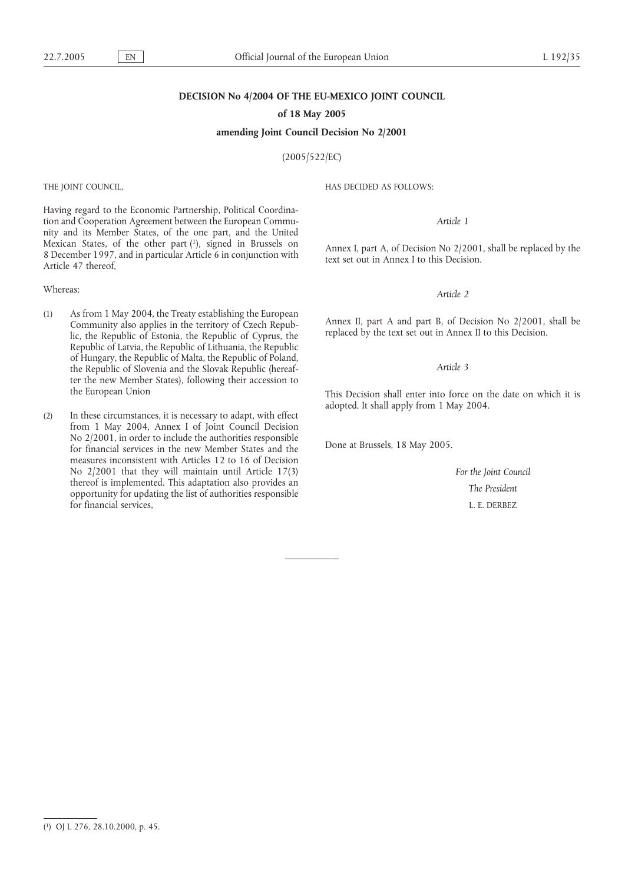### **DECISION No 4/2004 OF THE EU-MEXICO JOINT COUNCIL**

**of 18 May 2005**

**amending Joint Council Decision No 2/2001**

(2005/522/EC)

THE JOINT COUNCIL,

Having regard to the Economic Partnership, Political Coordination and Cooperation Agreement between the European Community and its Member States, of the one part, and the United Mexican States, of the other part (1), signed in Brussels on 8 December 1997, and in particular Article 6 in conjunction with Article 47 thereof,

#### Whereas:

- (1) As from 1 May 2004, the Treaty establishing the European Community also applies in the territory of Czech Republic, the Republic of Estonia, the Republic of Cyprus, the Republic of Latvia, the Republic of Lithuania, the Republic of Hungary, the Republic of Malta, the Republic of Poland, the Republic of Slovenia and the Slovak Republic (hereafter the new Member States), following their accession to the European Union
- (2) In these circumstances, it is necessary to adapt, with effect from 1 May 2004, Annex I of Joint Council Decision No 2/2001, in order to include the authorities responsible for financial services in the new Member States and the measures inconsistent with Articles 12 to 16 of Decision No 2/2001 that they will maintain until Article 17(3) thereof is implemented. This adaptation also provides an opportunity for updating the list of authorities responsible for financial services,

HAS DECIDED AS FOLLOWS:

#### *Article 1*

Annex I, part A, of Decision No 2/2001, shall be replaced by the text set out in Annex I to this Decision.

#### *Article 2*

Annex II, part A and part B, of Decision No 2/2001, shall be replaced by the text set out in Annex II to this Decision.

#### *Article 3*

This Decision shall enter into force on the date on which it is adopted. It shall apply from 1 May 2004.

Done at Brussels, 18 May 2005.

*For the Joint Council The President* L. E. DERBEZ

<sup>(</sup> 1) OJ L 276, 28.10.2000, p. 45.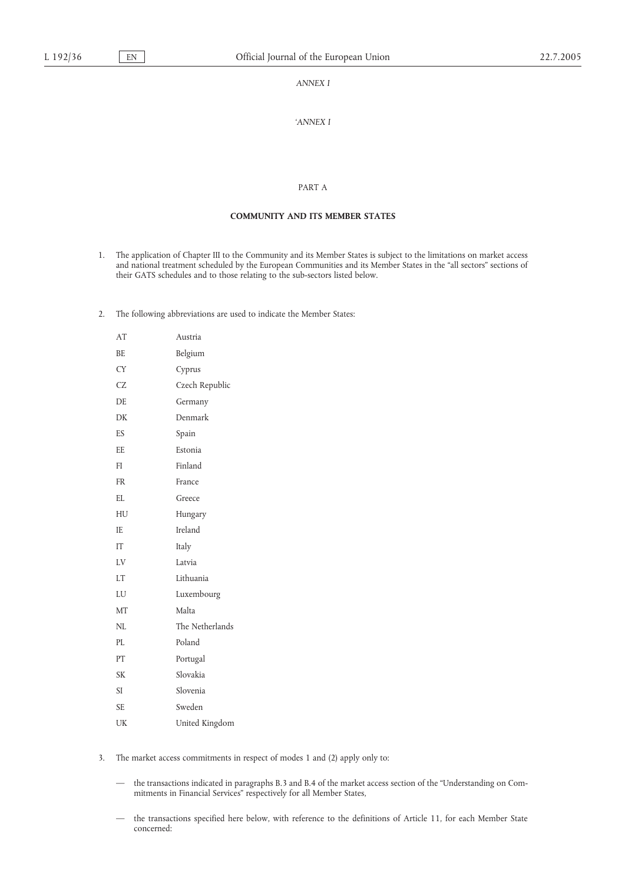## *ANNEX I*

## *'ANNEX I*

### PART A

## **COMMUNITY AND ITS MEMBER STATES**

- 1. The application of Chapter III to the Community and its Member States is subject to the limitations on market access and national treatment scheduled by the European Communities and its Member States in the "all sectors" sections of their GATS schedules and to those relating to the sub-sectors listed below.
- 2. The following abbreviations are used to indicate the Member States:

| AT        | Austria         |
|-----------|-----------------|
| BE.       | Belgium         |
| <b>CY</b> | Cyprus          |
| <b>CZ</b> | Czech Republic  |
| DE        | Germany         |
| DK        | Denmark         |
| ES        | Spain           |
| EE.       | Estonia         |
| FI        | Finland         |
| <b>FR</b> | France          |
| EL        | Greece          |
| HU        | Hungary         |
| IE.       | Ireland         |
| IT        | Italy           |
| LV        | Latvia          |
| <b>LT</b> | Lithuania       |
| LU        | Luxembourg      |
| MT        | Malta           |
| NL        | The Netherlands |
| PL        | Poland          |
| PT        | Portugal        |
| <b>SK</b> | Slovakia        |
| SI        | Slovenia        |
| <b>SE</b> | Sweden          |
| UK        | United Kingdom  |

- 3. The market access commitments in respect of modes 1 and (2) apply only to:
	- the transactions indicated in paragraphs B.3 and B.4 of the market access section of the "Understanding on Commitments in Financial Services" respectively for all Member States,
	- the transactions specified here below, with reference to the definitions of Article 11, for each Member State concerned: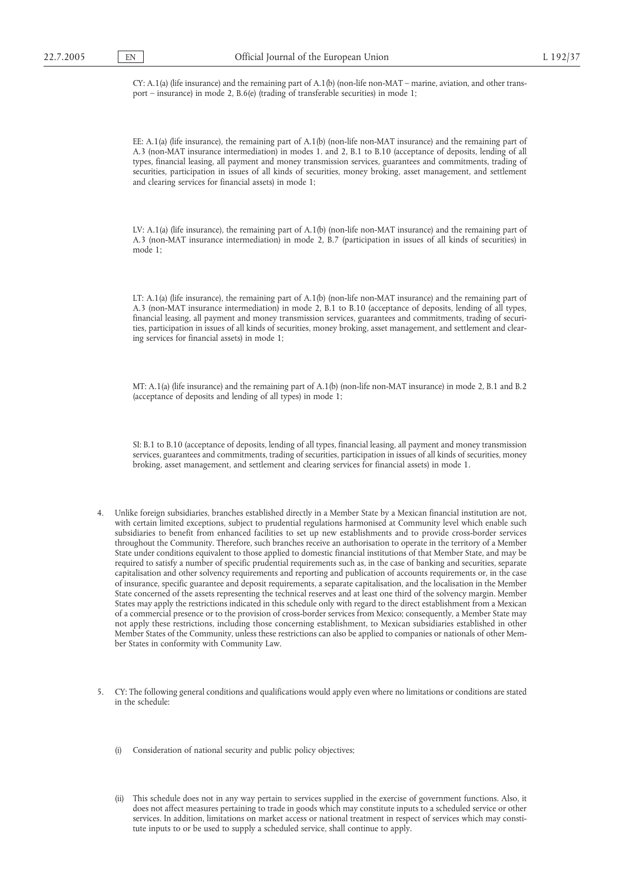CY: A.1(a) (life insurance) and the remaining part of A.1(b) (non-life non-MAT – marine, aviation, and other transport – insurance) in mode 2, B.6(e) (trading of transferable securities) in mode 1;

EE: A.1(a) (life insurance), the remaining part of A.1(b) (non-life non-MAT insurance) and the remaining part of A.3 (non-MAT insurance intermediation) in modes 1. and 2, B.1 to B.10 (acceptance of deposits, lending of all types, financial leasing, all payment and money transmission services, guarantees and commitments, trading of securities, participation in issues of all kinds of securities, money broking, asset management, and settlement and clearing services for financial assets) in mode 1;

LV: A.1(a) (life insurance), the remaining part of A.1(b) (non-life non-MAT insurance) and the remaining part of A.3 (non-MAT insurance intermediation) in mode 2, B.7 (participation in issues of all kinds of securities) in mode 1;

LT: A.1(a) (life insurance), the remaining part of A.1(b) (non-life non-MAT insurance) and the remaining part of A.3 (non-MAT insurance intermediation) in mode 2, B.1 to B.10 (acceptance of deposits, lending of all types, financial leasing, all payment and money transmission services, guarantees and commitments, trading of securities, participation in issues of all kinds of securities, money broking, asset management, and settlement and clearing services for financial assets) in mode 1;

MT: A.1(a) (life insurance) and the remaining part of A.1(b) (non-life non-MAT insurance) in mode 2, B.1 and B.2 (acceptance of deposits and lending of all types) in mode 1;

SI: B.1 to B.10 (acceptance of deposits, lending of all types, financial leasing, all payment and money transmission services, guarantees and commitments, trading of securities, participation in issues of all kinds of securities, money broking, asset management, and settlement and clearing services for financial assets) in mode 1.

- 4. Unlike foreign subsidiaries, branches established directly in a Member State by a Mexican financial institution are not, with certain limited exceptions, subject to prudential regulations harmonised at Community level which enable such subsidiaries to benefit from enhanced facilities to set up new establishments and to provide cross-border services throughout the Community. Therefore, such branches receive an authorisation to operate in the territory of a Member State under conditions equivalent to those applied to domestic financial institutions of that Member State, and may be required to satisfy a number of specific prudential requirements such as, in the case of banking and securities, separate capitalisation and other solvency requirements and reporting and publication of accounts requirements or, in the case of insurance, specific guarantee and deposit requirements, a separate capitalisation, and the localisation in the Member State concerned of the assets representing the technical reserves and at least one third of the solvency margin. Member States may apply the restrictions indicated in this schedule only with regard to the direct establishment from a Mexican of a commercial presence or to the provision of cross-border services from Mexico; consequently, a Member State may not apply these restrictions, including those concerning establishment, to Mexican subsidiaries established in other Member States of the Community, unless these restrictions can also be applied to companies or nationals of other Member States in conformity with Community Law.
- 5. CY: The following general conditions and qualifications would apply even where no limitations or conditions are stated in the schedule:
	- Consideration of national security and public policy objectives;
	- (ii) This schedule does not in any way pertain to services supplied in the exercise of government functions. Also, it does not affect measures pertaining to trade in goods which may constitute inputs to a scheduled service or other services. In addition, limitations on market access or national treatment in respect of services which may constitute inputs to or be used to supply a scheduled service, shall continue to apply.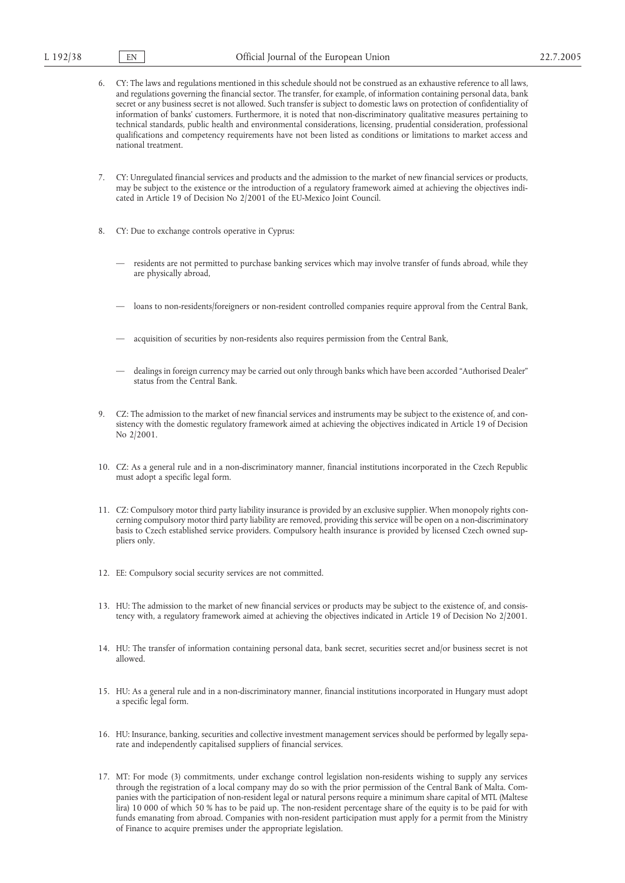- 6. CY: The laws and regulations mentioned in this schedule should not be construed as an exhaustive reference to all laws, and regulations governing the financial sector. The transfer, for example, of information containing personal data, bank secret or any business secret is not allowed. Such transfer is subject to domestic laws on protection of confidentiality of information of banks' customers. Furthermore, it is noted that non-discriminatory qualitative measures pertaining to technical standards, public health and environmental considerations, licensing, prudential consideration, professional qualifications and competency requirements have not been listed as conditions or limitations to market access and national treatment.
- 7. CY: Unregulated financial services and products and the admission to the market of new financial services or products, may be subject to the existence or the introduction of a regulatory framework aimed at achieving the objectives indicated in Article 19 of Decision No 2/2001 of the EU-Mexico Joint Council.
- 8. CY: Due to exchange controls operative in Cyprus:
	- residents are not permitted to purchase banking services which may involve transfer of funds abroad, while they are physically abroad,
	- loans to non-residents/foreigners or non-resident controlled companies require approval from the Central Bank,
	- acquisition of securities by non-residents also requires permission from the Central Bank,
	- dealings in foreign currency may be carried out only through banks which have been accorded "Authorised Dealer" status from the Central Bank.
- 9. CZ: The admission to the market of new financial services and instruments may be subject to the existence of, and consistency with the domestic regulatory framework aimed at achieving the objectives indicated in Article 19 of Decision No 2/2001.
- 10. CZ: As a general rule and in a non-discriminatory manner, financial institutions incorporated in the Czech Republic must adopt a specific legal form.
- 11. CZ: Compulsory motor third party liability insurance is provided by an exclusive supplier. When monopoly rights concerning compulsory motor third party liability are removed, providing this service will be open on a non-discriminatory basis to Czech established service providers. Compulsory health insurance is provided by licensed Czech owned suppliers only.
- 12. EE: Compulsory social security services are not committed.
- 13. HU: The admission to the market of new financial services or products may be subject to the existence of, and consistency with, a regulatory framework aimed at achieving the objectives indicated in Article 19 of Decision No 2/2001.
- 14. HU: The transfer of information containing personal data, bank secret, securities secret and/or business secret is not allowed.
- 15. HU: As a general rule and in a non-discriminatory manner, financial institutions incorporated in Hungary must adopt a specific legal form.
- 16. HU: Insurance, banking, securities and collective investment management services should be performed by legally separate and independently capitalised suppliers of financial services.
- 17. MT: For mode (3) commitments, under exchange control legislation non-residents wishing to supply any services through the registration of a local company may do so with the prior permission of the Central Bank of Malta. Companies with the participation of non-resident legal or natural persons require a minimum share capital of MTL (Maltese lira) 10 000 of which 50 % has to be paid up. The non-resident percentage share of the equity is to be paid for with funds emanating from abroad. Companies with non-resident participation must apply for a permit from the Ministry of Finance to acquire premises under the appropriate legislation.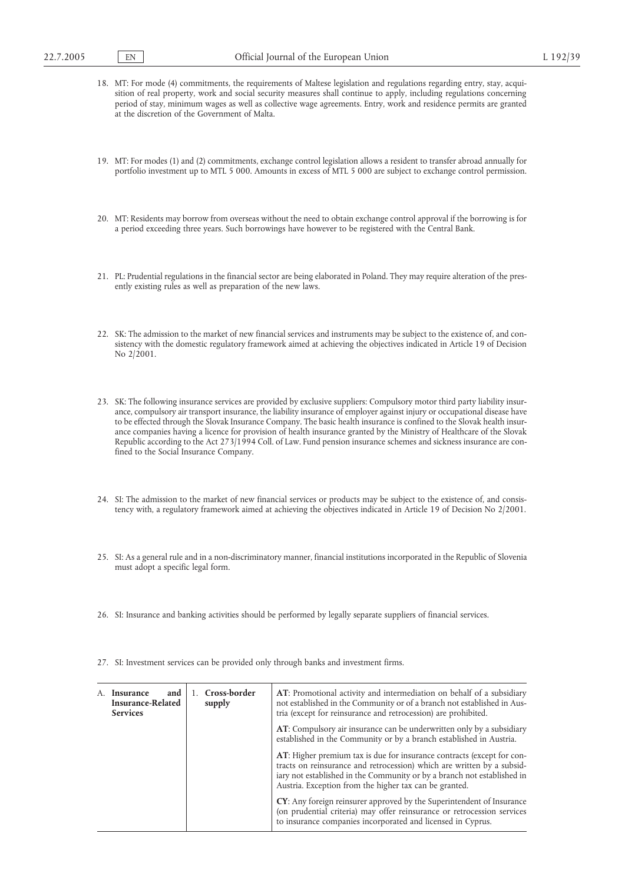- 18. MT: For mode (4) commitments, the requirements of Maltese legislation and regulations regarding entry, stay, acquisition of real property, work and social security measures shall continue to apply, including regulations concerning period of stay, minimum wages as well as collective wage agreements. Entry, work and residence permits are granted at the discretion of the Government of Malta.
- 19. MT: For modes (1) and (2) commitments, exchange control legislation allows a resident to transfer abroad annually for portfolio investment up to MTL 5 000. Amounts in excess of MTL 5 000 are subject to exchange control permission.
- 20. MT: Residents may borrow from overseas without the need to obtain exchange control approval if the borrowing is for a period exceeding three years. Such borrowings have however to be registered with the Central Bank.
- 21. PL: Prudential regulations in the financial sector are being elaborated in Poland. They may require alteration of the presently existing rules as well as preparation of the new laws.
- 22. SK: The admission to the market of new financial services and instruments may be subject to the existence of, and consistency with the domestic regulatory framework aimed at achieving the objectives indicated in Article 19 of Decision No 2/2001.
- 23. SK: The following insurance services are provided by exclusive suppliers: Compulsory motor third party liability insurance, compulsory air transport insurance, the liability insurance of employer against injury or occupational disease have to be effected through the Slovak Insurance Company. The basic health insurance is confined to the Slovak health insurance companies having a licence for provision of health insurance granted by the Ministry of Healthcare of the Slovak Republic according to the Act 273/1994 Coll. of Law. Fund pension insurance schemes and sickness insurance are confined to the Social Insurance Company.
- 24. SI: The admission to the market of new financial services or products may be subject to the existence of, and consistency with, a regulatory framework aimed at achieving the objectives indicated in Article 19 of Decision No 2/2001.
- 25. SI: As a general rule and in a non-discriminatory manner, financial institutions incorporated in the Republic of Slovenia must adopt a specific legal form.
- 26. SI: Insurance and banking activities should be performed by legally separate suppliers of financial services.
- 27. SI: Investment services can be provided only through banks and investment firms.

| and<br>Insurance<br>A.<br><b>Insurance-Related</b><br><b>Services</b> | Cross-border<br>supply | AT: Promotional activity and intermediation on behalf of a subsidiary<br>not established in the Community or of a branch not established in Aus-<br>tria (except for reinsurance and retrocession) are prohibited.                                                                           |  |
|-----------------------------------------------------------------------|------------------------|----------------------------------------------------------------------------------------------------------------------------------------------------------------------------------------------------------------------------------------------------------------------------------------------|--|
|                                                                       |                        | AT: Compulsory air insurance can be underwritten only by a subsidiary<br>established in the Community or by a branch established in Austria.                                                                                                                                                 |  |
|                                                                       |                        | <b>AT:</b> Higher premium tax is due for insurance contracts (except for con-<br>tracts on reinsurance and retrocession) which are written by a subsid-<br>iary not established in the Community or by a branch not established in<br>Austria. Exception from the higher tax can be granted. |  |
|                                                                       |                        | <b>CY</b> : Any foreign reinsurer approved by the Superintendent of Insurance<br>(on prudential criteria) may offer reinsurance or retrocession services<br>to insurance companies incorporated and licensed in Cyprus.                                                                      |  |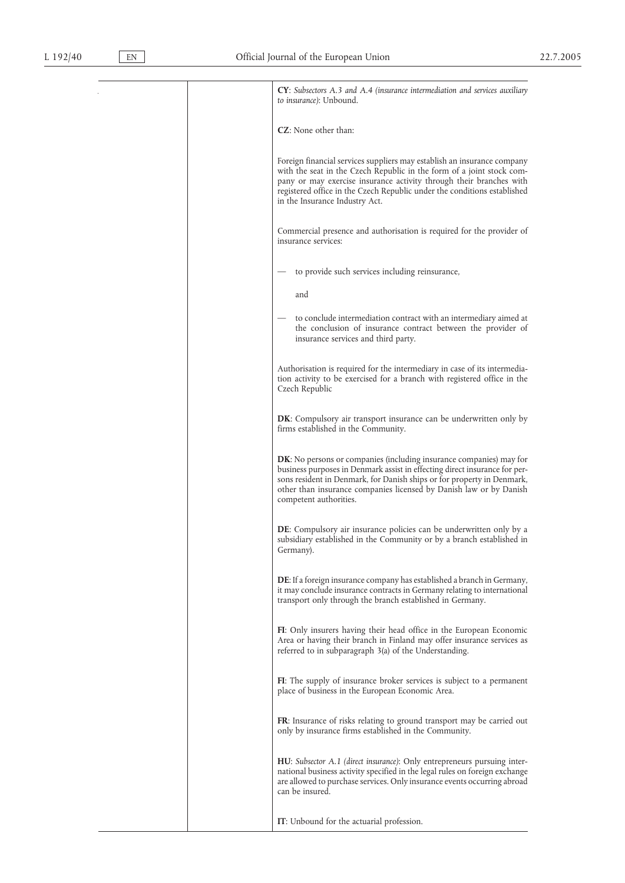**CY**: *Subsectors A.3 and A.4 (insurance intermediation and services auxiliary to insurance)*: Unbound. **CZ**: None other than: Foreign financial services suppliers may establish an insurance company with the seat in the Czech Republic in the form of a joint stock company or may exercise insurance activity through their branches with registered office in the Czech Republic under the conditions established in the Insurance Industry Act. Commercial presence and authorisation is required for the provider of insurance services: — to provide such services including reinsurance, and — to conclude intermediation contract with an intermediary aimed at the conclusion of insurance contract between the provider of insurance services and third party. Authorisation is required for the intermediary in case of its intermediation activity to be exercised for a branch with registered office in the Czech Republic **DK**: Compulsory air transport insurance can be underwritten only by firms established in the Community. **DK**: No persons or companies (including insurance companies) may for business purposes in Denmark assist in effecting direct insurance for persons resident in Denmark, for Danish ships or for property in Denmark, other than insurance companies licensed by Danish law or by Danish competent authorities. **DE**: Compulsory air insurance policies can be underwritten only by a subsidiary established in the Community or by a branch established in Germany). **DE**: If a foreign insurance company has established a branch in Germany, it may conclude insurance contracts in Germany relating to international transport only through the branch established in Germany. **FI**: Only insurers having their head office in the European Economic Area or having their branch in Finland may offer insurance services as referred to in subparagraph 3(a) of the Understanding. **FI**: The supply of insurance broker services is subject to a permanent place of business in the European Economic Area. **FR**: Insurance of risks relating to ground transport may be carried out only by insurance firms established in the Community. **HU**: *Subsector A.1 (direct insurance)*: Only entrepreneurs pursuing international business activity specified in the legal rules on foreign exchange are allowed to purchase services. Only insurance events occurring abroad can be insured.

**IT**: Unbound for the actuarial profession.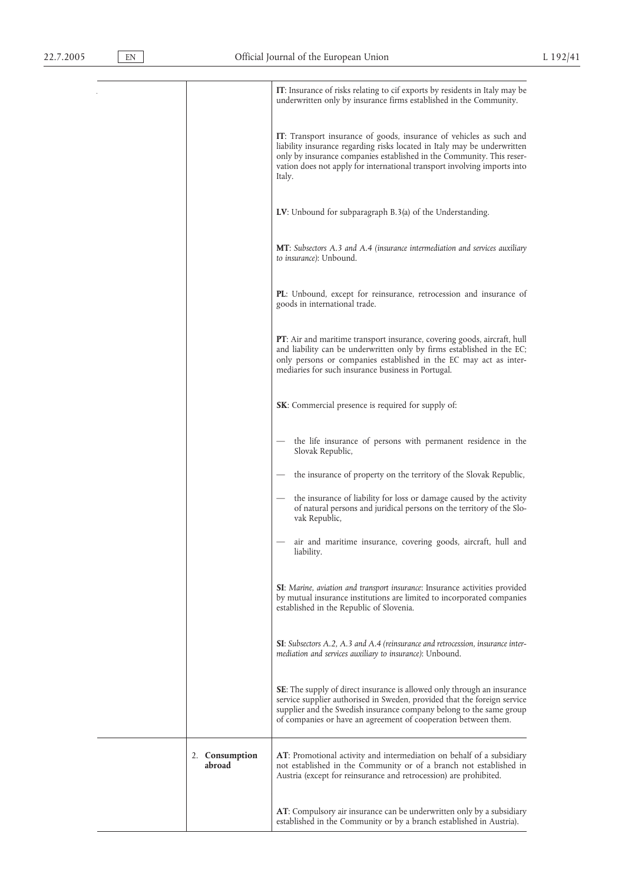|                          | IT: Insurance of risks relating to cif exports by residents in Italy may be<br>underwritten only by insurance firms established in the Community.                                                                                                                                                              |
|--------------------------|----------------------------------------------------------------------------------------------------------------------------------------------------------------------------------------------------------------------------------------------------------------------------------------------------------------|
|                          | IT: Transport insurance of goods, insurance of vehicles as such and<br>liability insurance regarding risks located in Italy may be underwritten<br>only by insurance companies established in the Community. This reser-<br>vation does not apply for international transport involving imports into<br>Italy. |
|                          | LV: Unbound for subparagraph B.3(a) of the Understanding.                                                                                                                                                                                                                                                      |
|                          | <b>MT</b> : Subsectors A.3 and A.4 (insurance intermediation and services auxiliary<br>to insurance): Unbound.                                                                                                                                                                                                 |
|                          | PL: Unbound, except for reinsurance, retrocession and insurance of<br>goods in international trade.                                                                                                                                                                                                            |
|                          | <b>PT</b> : Air and maritime transport insurance, covering goods, aircraft, hull<br>and liability can be underwritten only by firms established in the EC;<br>only persons or companies established in the EC may act as inter-<br>mediaries for such insurance business in Portugal.                          |
|                          | <b>SK:</b> Commercial presence is required for supply of:                                                                                                                                                                                                                                                      |
|                          | the life insurance of persons with permanent residence in the<br>Slovak Republic,                                                                                                                                                                                                                              |
|                          | the insurance of property on the territory of the Slovak Republic,                                                                                                                                                                                                                                             |
|                          | the insurance of liability for loss or damage caused by the activity<br>of natural persons and juridical persons on the territory of the Slo-<br>vak Republic,                                                                                                                                                 |
|                          | air and maritime insurance, covering goods, aircraft, hull and<br>liability.                                                                                                                                                                                                                                   |
|                          | SI: Marine, aviation and transport insurance: Insurance activities provided<br>by mutual insurance institutions are limited to incorporated companies<br>established in the Republic of Slovenia.                                                                                                              |
|                          | <b>SI</b> : Subsectors A.2, A.3 and A.4 (reinsurance and retrocession, insurance inter-<br>mediation and services auxiliary to insurance): Unbound.                                                                                                                                                            |
|                          | <b>SE:</b> The supply of direct insurance is allowed only through an insurance<br>service supplier authorised in Sweden, provided that the foreign service<br>supplier and the Swedish insurance company belong to the same group<br>of companies or have an agreement of cooperation between them.            |
| 2. Consumption<br>abroad | <b>AT</b> : Promotional activity and intermediation on behalf of a subsidiary<br>not established in the Community or of a branch not established in<br>Austria (except for reinsurance and retrocession) are prohibited.                                                                                       |
|                          | AT: Compulsory air insurance can be underwritten only by a subsidiary                                                                                                                                                                                                                                          |

established in the Community or by a branch established in Austria).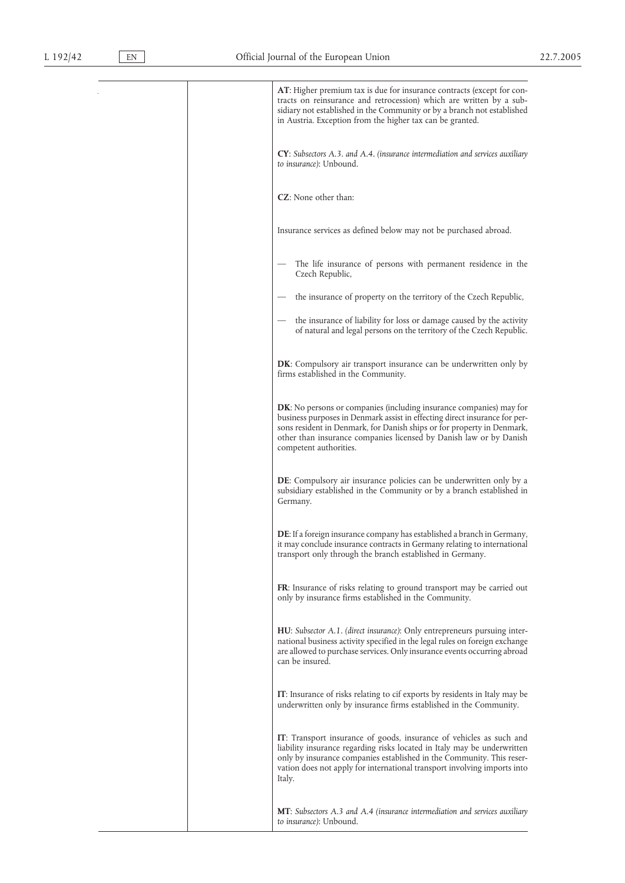**AT**: Higher premium tax is due for insurance contracts (except for contracts on reinsurance and retrocession) which are written by a subsidiary not established in the Community or by a branch not established in Austria. Exception from the higher tax can be granted. **CY**: *Subsectors A.3. and A.4. (insurance intermediation and services auxiliary to insurance)*: Unbound. **CZ**: None other than: Insurance services as defined below may not be purchased abroad. The life insurance of persons with permanent residence in the Czech Republic, the insurance of property on the territory of the Czech Republic, the insurance of liability for loss or damage caused by the activity of natural and legal persons on the territory of the Czech Republic. **DK**: Compulsory air transport insurance can be underwritten only by firms established in the Community. **DK**: No persons or companies (including insurance companies) may for business purposes in Denmark assist in effecting direct insurance for persons resident in Denmark, for Danish ships or for property in Denmark, other than insurance companies licensed by Danish law or by Danish competent authorities. **DE**: Compulsory air insurance policies can be underwritten only by a subsidiary established in the Community or by a branch established in Germany. **DE**: If a foreign insurance company has established a branch in Germany, it may conclude insurance contracts in Germany relating to international transport only through the branch established in Germany. **FR**: Insurance of risks relating to ground transport may be carried out only by insurance firms established in the Community. **HU**: *Subsector A.1. (direct insurance)*: Only entrepreneurs pursuing international business activity specified in the legal rules on foreign exchange are allowed to purchase services. Only insurance events occurring abroad can be insured. **IT**: Insurance of risks relating to cif exports by residents in Italy may be underwritten only by insurance firms established in the Community. **IT**: Transport insurance of goods, insurance of vehicles as such and liability insurance regarding risks located in Italy may be underwritten only by insurance companies established in the Community. This reservation does not apply for international transport involving imports into Italy. **MT**: *Subsectors A.3 and A.4 (insurance intermediation and services auxiliary to insurance)*: Unbound.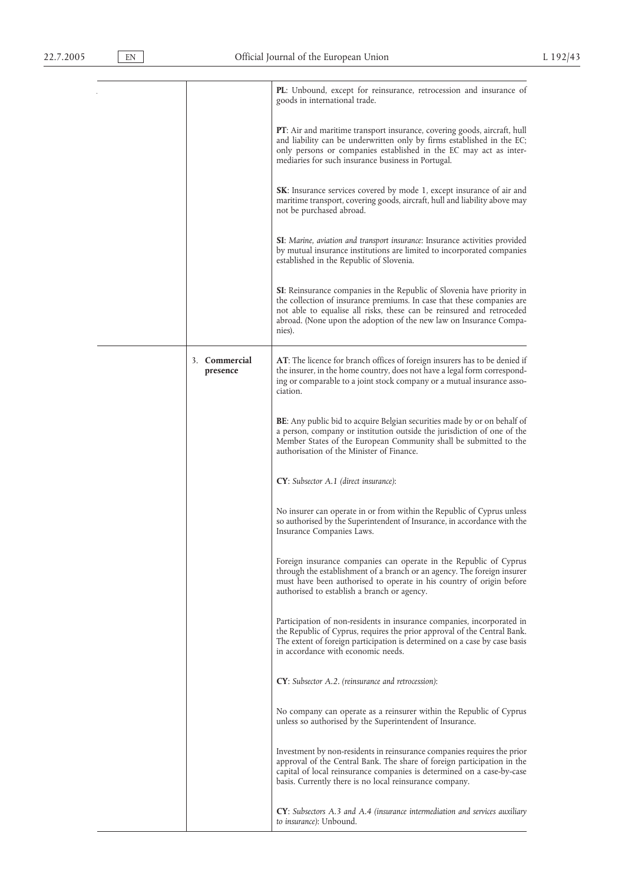|                           | PL: Unbound, except for reinsurance, retrocession and insurance of<br>goods in international trade.                                                                                                                                                                                                              |
|---------------------------|------------------------------------------------------------------------------------------------------------------------------------------------------------------------------------------------------------------------------------------------------------------------------------------------------------------|
|                           | <b>PT</b> : Air and maritime transport insurance, covering goods, aircraft, hull<br>and liability can be underwritten only by firms established in the EC;<br>only persons or companies established in the EC may act as inter-<br>mediaries for such insurance business in Portugal.                            |
|                           | <b>SK</b> : Insurance services covered by mode 1, except insurance of air and<br>maritime transport, covering goods, aircraft, hull and liability above may<br>not be purchased abroad.                                                                                                                          |
|                           | SI: Marine, aviation and transport insurance: Insurance activities provided<br>by mutual insurance institutions are limited to incorporated companies<br>established in the Republic of Slovenia.                                                                                                                |
|                           | <b>SI:</b> Reinsurance companies in the Republic of Slovenia have priority in<br>the collection of insurance premiums. In case that these companies are<br>not able to equalise all risks, these can be reinsured and retroceded<br>abroad. (None upon the adoption of the new law on Insurance Compa-<br>nies). |
| 3. Commercial<br>presence | AT: The licence for branch offices of foreign insurers has to be denied if<br>the insurer, in the home country, does not have a legal form correspond-<br>ing or comparable to a joint stock company or a mutual insurance asso-<br>ciation.                                                                     |
|                           | <b>BE:</b> Any public bid to acquire Belgian securities made by or on behalf of<br>a person, company or institution outside the jurisdiction of one of the<br>Member States of the European Community shall be submitted to the<br>authorisation of the Minister of Finance.                                     |
|                           | CY: Subsector A.1 (direct insurance):                                                                                                                                                                                                                                                                            |
|                           | No insurer can operate in or from within the Republic of Cyprus unless<br>so authorised by the Superintendent of Insurance, in accordance with the<br>Insurance Companies Laws.                                                                                                                                  |
|                           | Foreign insurance companies can operate in the Republic of Cyprus<br>through the establishment of a branch or an agency. The foreign insurer<br>must have been authorised to operate in his country of origin before<br>authorised to establish a branch or agency.                                              |
|                           | Participation of non-residents in insurance companies, incorporated in<br>the Republic of Cyprus, requires the prior approval of the Central Bank.<br>The extent of foreign participation is determined on a case by case basis<br>in accordance with economic needs.                                            |
|                           | <b>CY</b> : Subsector A.2. (reinsurance and retrocession):                                                                                                                                                                                                                                                       |
|                           | No company can operate as a reinsurer within the Republic of Cyprus<br>unless so authorised by the Superintendent of Insurance.                                                                                                                                                                                  |
|                           | Investment by non-residents in reinsurance companies requires the prior<br>approval of the Central Bank. The share of foreign participation in the<br>capital of local reinsurance companies is determined on a case-by-case<br>basis. Currently there is no local reinsurance company.                          |
|                           | $CY$ : Subsectors A.3 and A.4 (insurance intermediation and services auxiliary<br>to insurance): Unbound.                                                                                                                                                                                                        |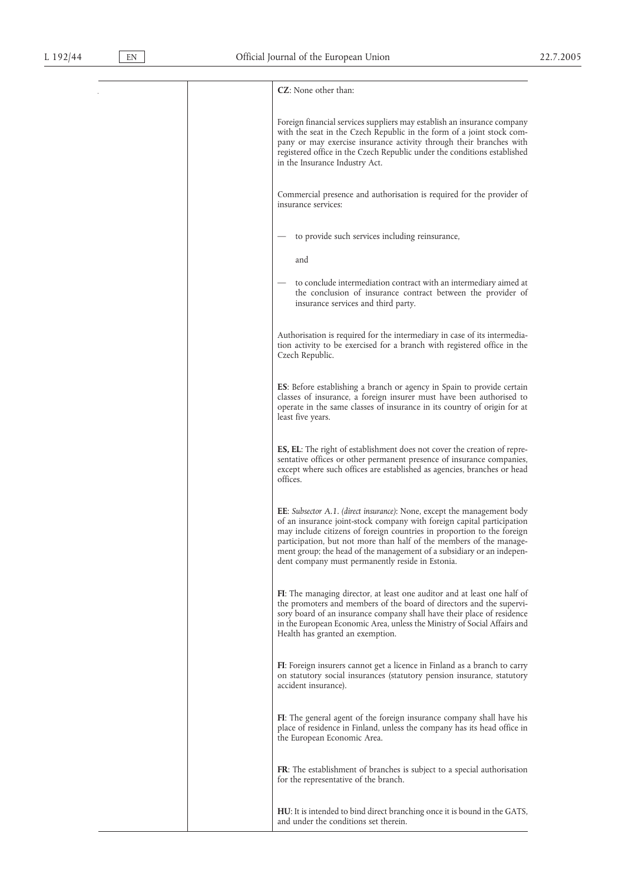#### **CZ**: None other than:

Foreign financial services suppliers may establish an insurance company with the seat in the Czech Republic in the form of a joint stock company or may exercise insurance activity through their branches with registered office in the Czech Republic under the conditions established in the Insurance Industry Act.

Commercial presence and authorisation is required for the provider of

to provide such services including reinsurance,

to conclude intermediation contract with an intermediary aimed at the conclusion of insurance contract between the provider of insurance services and third party.

Authorisation is required for the intermediary in case of its intermediation activity to be exercised for a branch with registered office in the Czech Republic.

**ES**: Before establishing a branch or agency in Spain to provide certain classes of insurance, a foreign insurer must have been authorised to operate in the same classes of insurance in its country of origin for at least five years.

**ES, EL**: The right of establishment does not cover the creation of representative offices or other permanent presence of insurance companies, except where such offices are established as agencies, branches or head offices.

**EE**: *Subsector A.1. (direct insurance)*: None, except the management body of an insurance joint-stock company with foreign capital participation may include citizens of foreign countries in proportion to the foreign participation, but not more than half of the members of the management group; the head of the management of a subsidiary or an independent company must permanently reside in Estonia.

**FI**: The managing director, at least one auditor and at least one half of the promoters and members of the board of directors and the supervisory board of an insurance company shall have their place of residence in the European Economic Area, unless the Ministry of Social Affairs and Health has granted an exemption.

**FI**: Foreign insurers cannot get a licence in Finland as a branch to carry on statutory social insurances (statutory pension insurance, statutory accident insurance).

**FI**: The general agent of the foreign insurance company shall have his place of residence in Finland, unless the company has its head office in the European Economic Area.

**FR**: The establishment of branches is subject to a special authorisation for the representative of the branch.

**HU**: It is intended to bind direct branching once it is bound in the GATS, and under the conditions set therein.

insurance services: and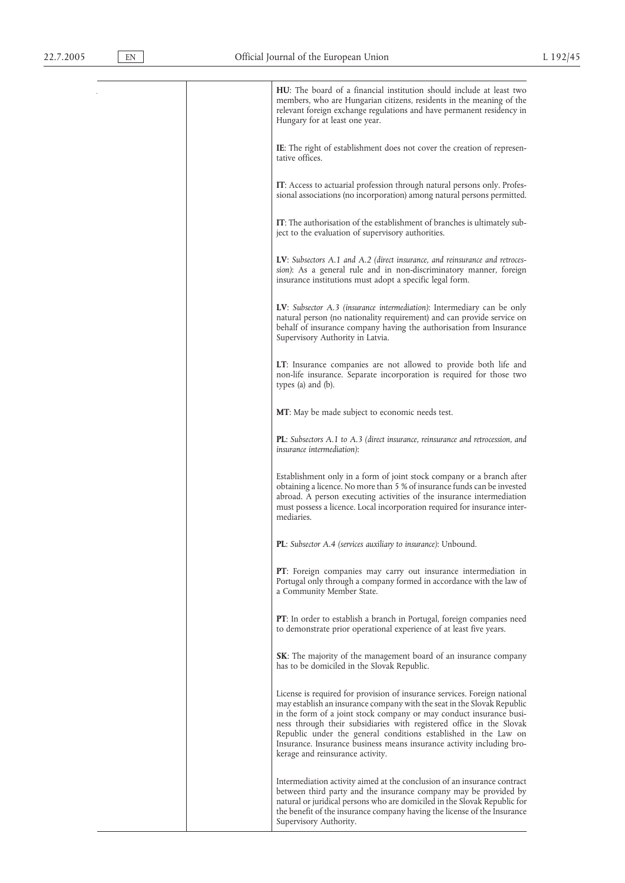**HU**: The board of a financial institution should include at least two members, who are Hungarian citizens, residents in the meaning of the relevant foreign exchange regulations and have permanent residency in Hungary for at least one year. **IE**: The right of establishment does not cover the creation of representative offices. **IT**: Access to actuarial profession through natural persons only. Professional associations (no incorporation) among natural persons permitted. **IT**: The authorisation of the establishment of branches is ultimately subject to the evaluation of supervisory authorities. **LV**: *Subsectors A.1 and A.2 (direct insurance, and reinsurance and retrocession)*: As a general rule and in non-discriminatory manner, foreign insurance institutions must adopt a specific legal form. **LV**: *Subsector A.3 (insurance intermediation)*: Intermediary can be only natural person (no nationality requirement) and can provide service on behalf of insurance company having the authorisation from Insurance Supervisory Authority in Latvia. **LT**: Insurance companies are not allowed to provide both life and non-life insurance. Separate incorporation is required for those two types (a) and (b). **MT**: May be made subject to economic needs test. **PL**: *Subsectors A.1 to A.3 (direct insurance, reinsurance and retrocession, and insurance intermediation)*: Establishment only in a form of joint stock company or a branch after obtaining a licence. No more than 5 % of insurance funds can be invested abroad. A person executing activities of the insurance intermediation must possess a licence. Local incorporation required for insurance intermediaries. **PL**: *Subsector A.4 (services auxiliary to insurance)*: Unbound. **PT**: Foreign companies may carry out insurance intermediation in Portugal only through a company formed in accordance with the law of a Community Member State. **PT**: In order to establish a branch in Portugal, foreign companies need to demonstrate prior operational experience of at least five years. **SK**: The majority of the management board of an insurance company has to be domiciled in the Slovak Republic. License is required for provision of insurance services. Foreign national may establish an insurance company with the seat in the Slovak Republic in the form of a joint stock company or may conduct insurance business through their subsidiaries with registered office in the Slovak Republic under the general conditions established in the Law on Insurance. Insurance business means insurance activity including brokerage and reinsurance activity. Intermediation activity aimed at the conclusion of an insurance contract between third party and the insurance company may be provided by natural or juridical persons who are domiciled in the Slovak Republic for the benefit of the insurance company having the license of the Insurance Supervisory Authority.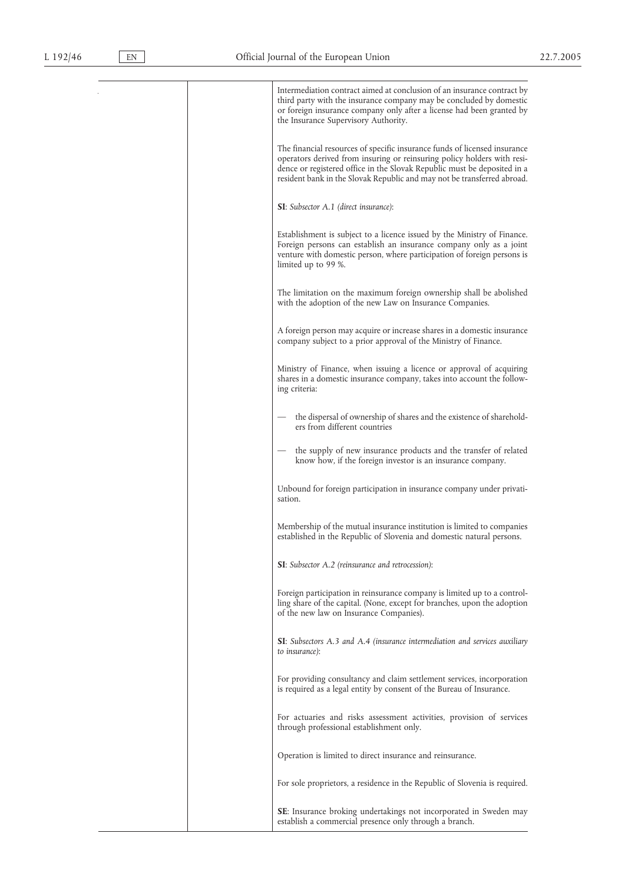$\mathcal{L}$ 

| Intermediation contract aimed at conclusion of an insurance contract by<br>third party with the insurance company may be concluded by domestic<br>or foreign insurance company only after a license had been granted by<br>the Insurance Supervisory Authority.                                             |
|-------------------------------------------------------------------------------------------------------------------------------------------------------------------------------------------------------------------------------------------------------------------------------------------------------------|
| The financial resources of specific insurance funds of licensed insurance<br>operators derived from insuring or reinsuring policy holders with resi-<br>dence or registered office in the Slovak Republic must be deposited in a<br>resident bank in the Slovak Republic and may not be transferred abroad. |
| <b>SI</b> : Subsector A.1 (direct insurance):                                                                                                                                                                                                                                                               |
| Establishment is subject to a licence issued by the Ministry of Finance.<br>Foreign persons can establish an insurance company only as a joint<br>venture with domestic person, where participation of foreign persons is<br>limited up to 99 %.                                                            |
| The limitation on the maximum foreign ownership shall be abolished<br>with the adoption of the new Law on Insurance Companies.                                                                                                                                                                              |
| A foreign person may acquire or increase shares in a domestic insurance<br>company subject to a prior approval of the Ministry of Finance.                                                                                                                                                                  |
| Ministry of Finance, when issuing a licence or approval of acquiring<br>shares in a domestic insurance company, takes into account the follow-<br>ing criteria:                                                                                                                                             |
| the dispersal of ownership of shares and the existence of sharehold-<br>ers from different countries                                                                                                                                                                                                        |
| the supply of new insurance products and the transfer of related<br>know how, if the foreign investor is an insurance company.                                                                                                                                                                              |
| Unbound for foreign participation in insurance company under privati-<br>sation.                                                                                                                                                                                                                            |
| Membership of the mutual insurance institution is limited to companies<br>established in the Republic of Slovenia and domestic natural persons.                                                                                                                                                             |
| <b>SI</b> : Subsector A.2 (reinsurance and retrocession):                                                                                                                                                                                                                                                   |
| Foreign participation in reinsurance company is limited up to a control-<br>ling share of the capital. (None, except for branches, upon the adoption<br>of the new law on Insurance Companies).                                                                                                             |
| <b>SI</b> : Subsectors A.3 and A.4 (insurance intermediation and services auxiliary<br>to insurance):                                                                                                                                                                                                       |
| For providing consultancy and claim settlement services, incorporation<br>is required as a legal entity by consent of the Bureau of Insurance.                                                                                                                                                              |
| For actuaries and risks assessment activities, provision of services<br>through professional establishment only.                                                                                                                                                                                            |
| Operation is limited to direct insurance and reinsurance.                                                                                                                                                                                                                                                   |
| For sole proprietors, a residence in the Republic of Slovenia is required.                                                                                                                                                                                                                                  |
| <b>SE:</b> Insurance broking undertakings not incorporated in Sweden may<br>establish a commercial presence only through a branch.                                                                                                                                                                          |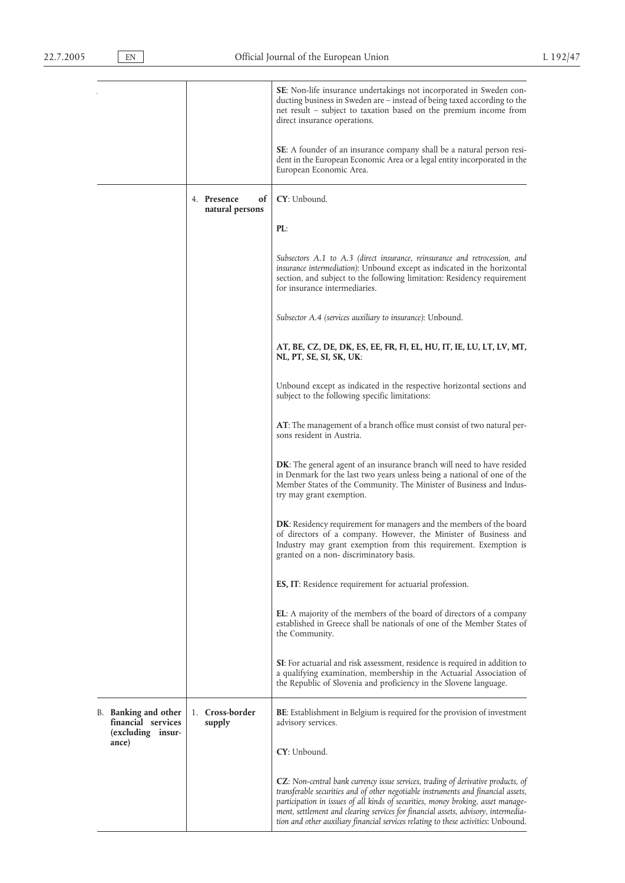|                                                                 |                                      | SE: Non-life insurance undertakings not incorporated in Sweden con-<br>ducting business in Sweden are – instead of being taxed according to the<br>net result – subject to taxation based on the premium income from<br>direct insurance operations.                                                                                                                                                                                          |
|-----------------------------------------------------------------|--------------------------------------|-----------------------------------------------------------------------------------------------------------------------------------------------------------------------------------------------------------------------------------------------------------------------------------------------------------------------------------------------------------------------------------------------------------------------------------------------|
|                                                                 |                                      | <b>SE:</b> A founder of an insurance company shall be a natural person resi-<br>dent in the European Economic Area or a legal entity incorporated in the<br>European Economic Area.                                                                                                                                                                                                                                                           |
|                                                                 | 4. Presence<br>of<br>natural persons | CY: Unbound.                                                                                                                                                                                                                                                                                                                                                                                                                                  |
|                                                                 |                                      | PL:                                                                                                                                                                                                                                                                                                                                                                                                                                           |
|                                                                 |                                      | Subsectors A.1 to A.3 (direct insurance, reinsurance and retrocession, and<br>insurance intermediation): Unbound except as indicated in the horizontal<br>section, and subject to the following limitation: Residency requirement<br>for insurance intermediaries.                                                                                                                                                                            |
|                                                                 |                                      | Subsector A.4 (services auxiliary to insurance): Unbound.                                                                                                                                                                                                                                                                                                                                                                                     |
|                                                                 |                                      | AT, BE, CZ, DE, DK, ES, EE, FR, FI, EL, HU, IT, IE, LU, LT, LV, MT,<br>NL, PT, SE, SI, SK, UK:                                                                                                                                                                                                                                                                                                                                                |
|                                                                 |                                      | Unbound except as indicated in the respective horizontal sections and<br>subject to the following specific limitations:                                                                                                                                                                                                                                                                                                                       |
|                                                                 |                                      | AT: The management of a branch office must consist of two natural per-<br>sons resident in Austria.                                                                                                                                                                                                                                                                                                                                           |
|                                                                 |                                      | <b>DK</b> : The general agent of an insurance branch will need to have resided<br>in Denmark for the last two years unless being a national of one of the<br>Member States of the Community. The Minister of Business and Indus-<br>try may grant exemption.                                                                                                                                                                                  |
|                                                                 |                                      | DK: Residency requirement for managers and the members of the board<br>of directors of a company. However, the Minister of Business and<br>Industry may grant exemption from this requirement. Exemption is<br>granted on a non-discriminatory basis.                                                                                                                                                                                         |
|                                                                 |                                      | ES, IT: Residence requirement for actuarial profession.                                                                                                                                                                                                                                                                                                                                                                                       |
|                                                                 |                                      | <b>EL</b> : A majority of the members of the board of directors of a company<br>established in Greece shall be nationals of one of the Member States of<br>the Community.                                                                                                                                                                                                                                                                     |
|                                                                 |                                      | SI: For actuarial and risk assessment, residence is required in addition to<br>a qualifying examination, membership in the Actuarial Association of<br>the Republic of Slovenia and proficiency in the Slovene language.                                                                                                                                                                                                                      |
| B. Banking and other<br>financial services<br>(excluding insur- | 1. Cross-border<br>supply            | <b>BE:</b> Establishment in Belgium is required for the provision of investment<br>advisory services.                                                                                                                                                                                                                                                                                                                                         |
| ance)                                                           |                                      | CY: Unbound.                                                                                                                                                                                                                                                                                                                                                                                                                                  |
|                                                                 |                                      | <b>CZ</b> : Non-central bank currency issue services, trading of derivative products, of<br>transferable securities and of other negotiable instruments and financial assets,<br>participation in issues of all kinds of securities, money broking, asset manage-<br>ment, settlement and clearing services for financial assets, advisory, intermedia-<br>tion and other auxiliary financial services relating to these activities: Unbound. |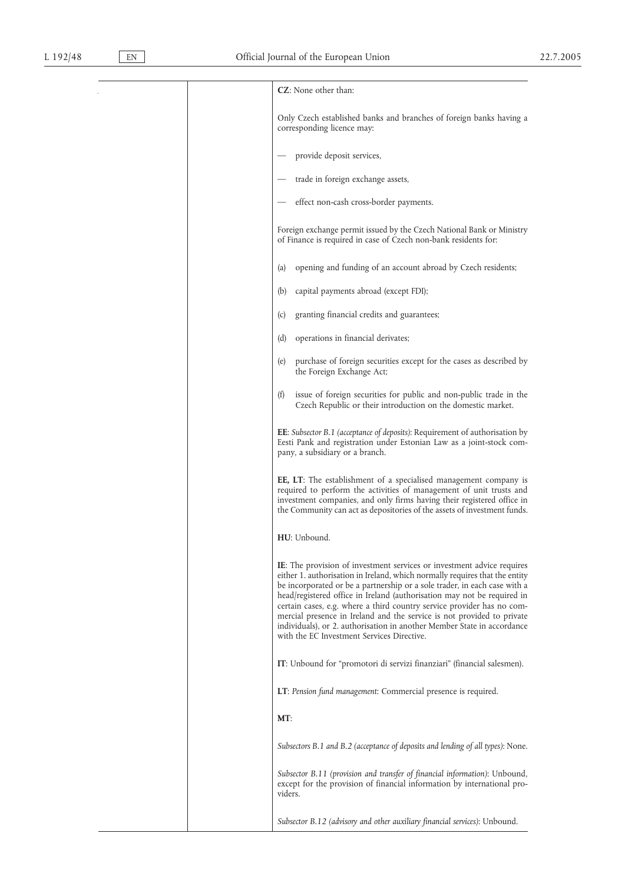| <b>CZ</b> : None other than:                                                                                                                                                                                                                                                                                                                                                                                                                                                                                                                                                                      |
|---------------------------------------------------------------------------------------------------------------------------------------------------------------------------------------------------------------------------------------------------------------------------------------------------------------------------------------------------------------------------------------------------------------------------------------------------------------------------------------------------------------------------------------------------------------------------------------------------|
| Only Czech established banks and branches of foreign banks having a<br>corresponding licence may:                                                                                                                                                                                                                                                                                                                                                                                                                                                                                                 |
| provide deposit services,                                                                                                                                                                                                                                                                                                                                                                                                                                                                                                                                                                         |
| trade in foreign exchange assets,                                                                                                                                                                                                                                                                                                                                                                                                                                                                                                                                                                 |
| effect non-cash cross-border payments.                                                                                                                                                                                                                                                                                                                                                                                                                                                                                                                                                            |
| Foreign exchange permit issued by the Czech National Bank or Ministry<br>of Finance is required in case of Czech non-bank residents for:                                                                                                                                                                                                                                                                                                                                                                                                                                                          |
| opening and funding of an account abroad by Czech residents;<br>(a)                                                                                                                                                                                                                                                                                                                                                                                                                                                                                                                               |
| (b)<br>capital payments abroad (except FDI);                                                                                                                                                                                                                                                                                                                                                                                                                                                                                                                                                      |
| granting financial credits and guarantees;<br>(c)                                                                                                                                                                                                                                                                                                                                                                                                                                                                                                                                                 |
| operations in financial derivates;<br>(d)                                                                                                                                                                                                                                                                                                                                                                                                                                                                                                                                                         |
| purchase of foreign securities except for the cases as described by<br>(e)<br>the Foreign Exchange Act;                                                                                                                                                                                                                                                                                                                                                                                                                                                                                           |
| (f)<br>issue of foreign securities for public and non-public trade in the<br>Czech Republic or their introduction on the domestic market.                                                                                                                                                                                                                                                                                                                                                                                                                                                         |
| <b>EE</b> : Subsector B.1 (acceptance of deposits): Requirement of authorisation by<br>Eesti Pank and registration under Estonian Law as a joint-stock com-<br>pany, a subsidiary or a branch.                                                                                                                                                                                                                                                                                                                                                                                                    |
| EE, LT: The establishment of a specialised management company is<br>required to perform the activities of management of unit trusts and<br>investment companies, and only firms having their registered office in<br>the Community can act as depositories of the assets of investment funds.                                                                                                                                                                                                                                                                                                     |
| HU: Unbound.                                                                                                                                                                                                                                                                                                                                                                                                                                                                                                                                                                                      |
| <b>IE:</b> The provision of investment services or investment advice requires<br>either 1. authorisation in Ireland, which normally requires that the entity<br>be incorporated or be a partnership or a sole trader, in each case with a<br>head/registered office in Ireland (authorisation may not be required in<br>certain cases, e.g. where a third country service provider has no com-<br>mercial presence in Ireland and the service is not provided to private<br>individuals), or 2. authorisation in another Member State in accordance<br>with the EC Investment Services Directive. |
| IT: Unbound for "promotori di servizi finanziari" (financial salesmen).                                                                                                                                                                                                                                                                                                                                                                                                                                                                                                                           |
| LT: Pension fund management: Commercial presence is required.                                                                                                                                                                                                                                                                                                                                                                                                                                                                                                                                     |
| MT:                                                                                                                                                                                                                                                                                                                                                                                                                                                                                                                                                                                               |
| Subsectors B.1 and B.2 (acceptance of deposits and lending of all types): None.                                                                                                                                                                                                                                                                                                                                                                                                                                                                                                                   |
| Subsector B.11 (provision and transfer of financial information): Unbound,                                                                                                                                                                                                                                                                                                                                                                                                                                                                                                                        |
| except for the provision of financial information by international pro-<br>viders.                                                                                                                                                                                                                                                                                                                                                                                                                                                                                                                |
| Subsector B.12 (advisory and other auxiliary financial services): Unbound.                                                                                                                                                                                                                                                                                                                                                                                                                                                                                                                        |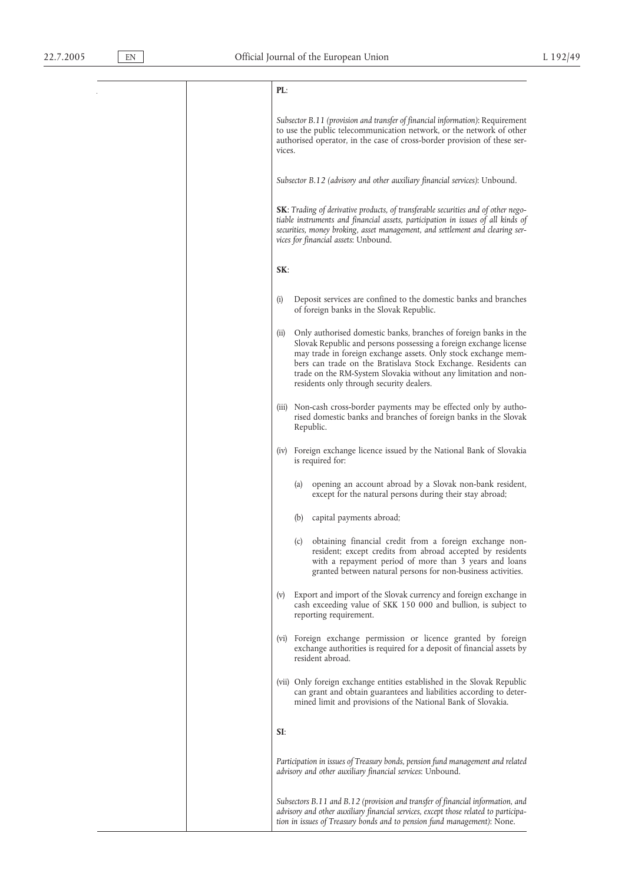## **PL**:

*Subsector B.11 (provision and transfer of financial information)*: Requirement to use the public telecommunication network, or the network of other authorised operator, in the case of cross-border provision of these services.

*Subsector B.12 (advisory and other auxiliary financial services)*: Unbound.

**SK**: *Trading of derivative products, of transferable securities and of other negotiable instruments and financial assets, participation in issues of all kinds of securities, money broking, asset management, and settlement and clearing services for financial assets*: Unbound.

**SK**:

- (i) Deposit services are confined to the domestic banks and branches of foreign banks in the Slovak Republic.
- (ii) Only authorised domestic banks, branches of foreign banks in the Slovak Republic and persons possessing a foreign exchange license may trade in foreign exchange assets. Only stock exchange members can trade on the Bratislava Stock Exchange. Residents can trade on the RM-System Slovakia without any limitation and nonresidents only through security dealers.
- (iii) Non-cash cross-border payments may be effected only by authorised domestic banks and branches of foreign banks in the Slovak Republic.
- (iv) Foreign exchange licence issued by the National Bank of Slovakia is required for:
	- (a) opening an account abroad by a Slovak non-bank resident, except for the natural persons during their stay abroad;
	- (b) capital payments abroad;
	- (c) obtaining financial credit from a foreign exchange nonresident; except credits from abroad accepted by residents with a repayment period of more than 3 years and loans granted between natural persons for non-business activities.
- (v) Export and import of the Slovak currency and foreign exchange in cash exceeding value of SKK 150 000 and bullion, is subject to reporting requirement.
- (vi) Foreign exchange permission or licence granted by foreign exchange authorities is required for a deposit of financial assets by resident abroad.
- (vii) Only foreign exchange entities established in the Slovak Republic can grant and obtain guarantees and liabilities according to determined limit and provisions of the National Bank of Slovakia.
- **SI**:

*Participation in issues of Treasury bonds, pension fund management and related advisory and other auxiliary financial services*: Unbound.

*Subsectors B.11 and B.12 (provision and transfer of financial information, and advisory and other auxiliary financial services, except those related to participation in issues of Treasury bonds and to pension fund management)*: None.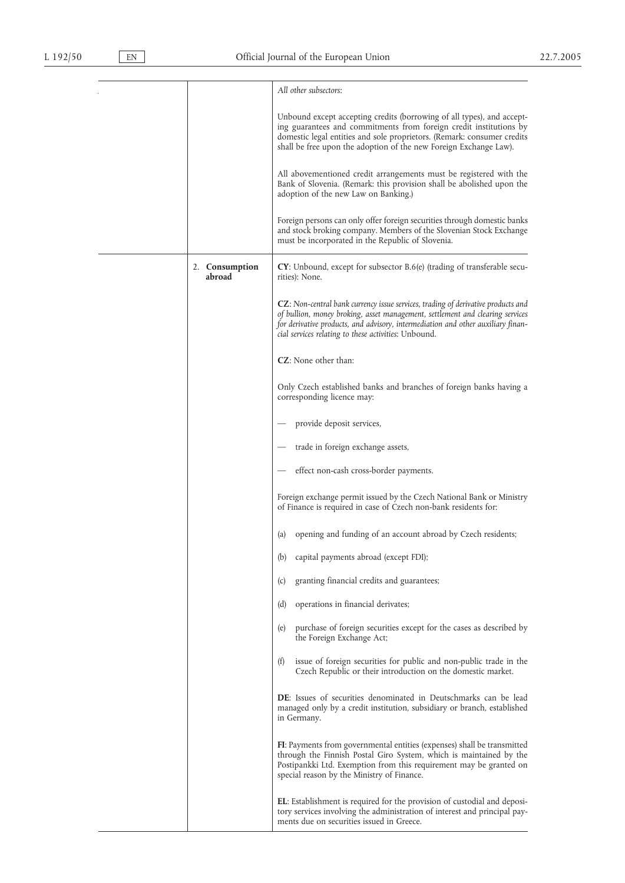|                          | All other subsectors:                                                                                                                                                                                                                                                                                         |
|--------------------------|---------------------------------------------------------------------------------------------------------------------------------------------------------------------------------------------------------------------------------------------------------------------------------------------------------------|
|                          | Unbound except accepting credits (borrowing of all types), and accept-<br>ing guarantees and commitments from foreign credit institutions by<br>domestic legal entities and sole proprietors. (Remark: consumer credits<br>shall be free upon the adoption of the new Foreign Exchange Law).                  |
|                          | All abovementioned credit arrangements must be registered with the<br>Bank of Slovenia. (Remark: this provision shall be abolished upon the<br>adoption of the new Law on Banking.)                                                                                                                           |
|                          | Foreign persons can only offer foreign securities through domestic banks<br>and stock broking company. Members of the Slovenian Stock Exchange<br>must be incorporated in the Republic of Slovenia.                                                                                                           |
| 2. Consumption<br>abroad | <b>CY</b> : Unbound, except for subsector B.6(e) (trading of transferable secu-<br>rities): None.                                                                                                                                                                                                             |
|                          | CZ: Non-central bank currency issue services, trading of derivative products and<br>of bullion, money broking, asset management, settlement and clearing services<br>for derivative products, and advisory, intermediation and other auxiliary finan-<br>cial services relating to these activities: Unbound. |
|                          | <b>CZ</b> : None other than:                                                                                                                                                                                                                                                                                  |
|                          | Only Czech established banks and branches of foreign banks having a<br>corresponding licence may:                                                                                                                                                                                                             |
|                          | provide deposit services,                                                                                                                                                                                                                                                                                     |
|                          | trade in foreign exchange assets,                                                                                                                                                                                                                                                                             |
|                          | effect non-cash cross-border payments.                                                                                                                                                                                                                                                                        |
|                          | Foreign exchange permit issued by the Czech National Bank or Ministry<br>of Finance is required in case of Czech non-bank residents for:                                                                                                                                                                      |
|                          | opening and funding of an account abroad by Czech residents;<br>(a)                                                                                                                                                                                                                                           |
|                          | (b)<br>capital payments abroad (except FDI);                                                                                                                                                                                                                                                                  |
|                          | granting financial credits and guarantees;<br>(c)                                                                                                                                                                                                                                                             |
|                          | (d)<br>operations in financial derivates;                                                                                                                                                                                                                                                                     |
|                          | purchase of foreign securities except for the cases as described by<br>(e)<br>the Foreign Exchange Act;                                                                                                                                                                                                       |
|                          | (f)<br>issue of foreign securities for public and non-public trade in the<br>Czech Republic or their introduction on the domestic market.                                                                                                                                                                     |
|                          | <b>DE</b> : Issues of securities denominated in Deutschmarks can be lead<br>managed only by a credit institution, subsidiary or branch, established<br>in Germany.                                                                                                                                            |
|                          | FI: Payments from governmental entities (expenses) shall be transmitted<br>through the Finnish Postal Giro System, which is maintained by the<br>Postipankki Ltd. Exemption from this requirement may be granted on<br>special reason by the Ministry of Finance.                                             |
|                          | <b>EL</b> : Establishment is required for the provision of custodial and deposi-<br>tory services involving the administration of interest and principal pay-<br>ments due on securities issued in Greece.                                                                                                    |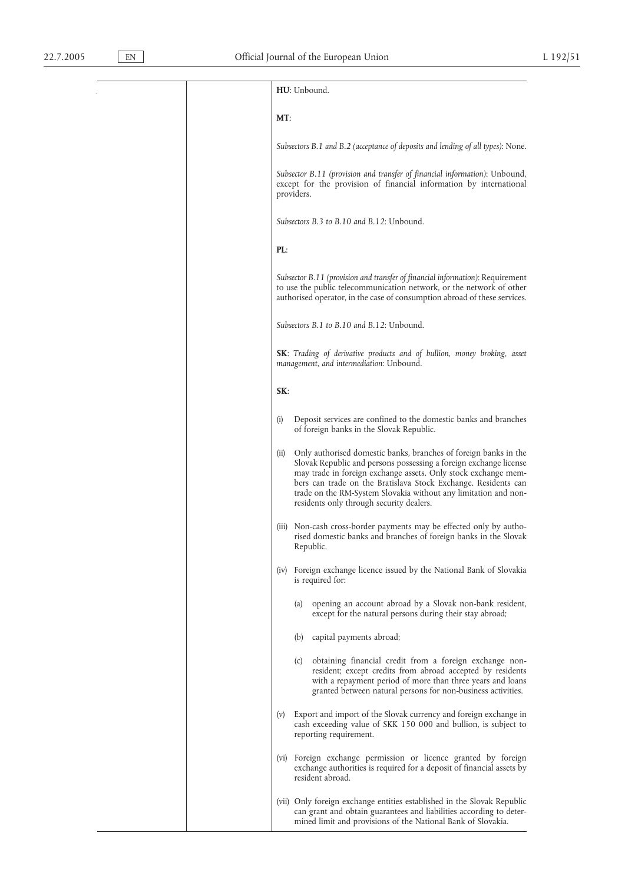**HU**: Unbound.

#### **MT**:

*Subsectors B.1 and B.2 (acceptance of deposits and lending of all types)*: None.

*Subsector B.11 (provision and transfer of financial information)*: Unbound, except for the provision of financial information by international providers.

*Subsectors B.3 to B.10 and B.12*: Unbound.

#### **PL**:

*Subsector B.11 (provision and transfer of financial information)*: Requirement to use the public telecommunication network, or the network of other authorised operator, in the case of consumption abroad of these services.

*Subsectors B.1 to B.10 and B.12*: Unbound.

**SK**: *Trading of derivative products and of bullion, money broking, asset management, and intermediation*: Unbound.

#### **SK**:

- (i) Deposit services are confined to the domestic banks and branches of foreign banks in the Slovak Republic.
- (ii) Only authorised domestic banks, branches of foreign banks in the Slovak Republic and persons possessing a foreign exchange license may trade in foreign exchange assets. Only stock exchange members can trade on the Bratislava Stock Exchange. Residents can trade on the RM-System Slovakia without any limitation and nonresidents only through security dealers.
- (iii) Non-cash cross-border payments may be effected only by authorised domestic banks and branches of foreign banks in the Slovak Republic.
- (iv) Foreign exchange licence issued by the National Bank of Slovakia is required for:
	- (a) opening an account abroad by a Slovak non-bank resident, except for the natural persons during their stay abroad;
	- (b) capital payments abroad;
	- (c) obtaining financial credit from a foreign exchange nonresident; except credits from abroad accepted by residents with a repayment period of more than three years and loans granted between natural persons for non-business activities.
- (v) Export and import of the Slovak currency and foreign exchange in cash exceeding value of SKK 150 000 and bullion, is subject to reporting requirement.
- (vi) Foreign exchange permission or licence granted by foreign exchange authorities is required for a deposit of financial assets by resident abroad.
- (vii) Only foreign exchange entities established in the Slovak Republic can grant and obtain guarantees and liabilities according to determined limit and provisions of the National Bank of Slovakia.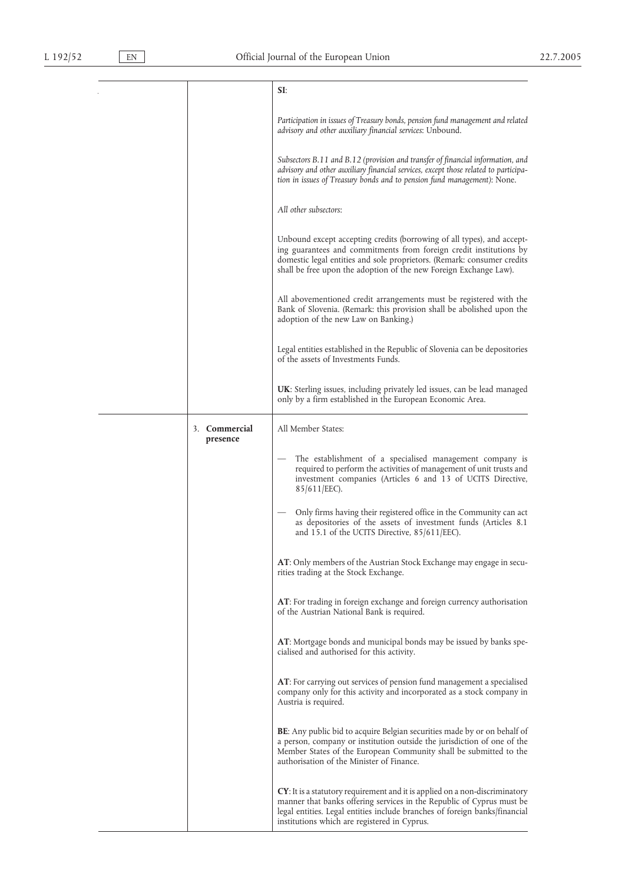|                           | SI:                                                                                                                                                                                                                                                                                          |
|---------------------------|----------------------------------------------------------------------------------------------------------------------------------------------------------------------------------------------------------------------------------------------------------------------------------------------|
|                           | Participation in issues of Treasury bonds, pension fund management and related<br>advisory and other auxiliary financial services: Unbound.                                                                                                                                                  |
|                           | Subsectors B.11 and B.12 (provision and transfer of financial information, and<br>advisory and other auxiliary financial services, except those related to participa-<br>tion in issues of Treasury bonds and to pension fund management): None.                                             |
|                           | All other subsectors:                                                                                                                                                                                                                                                                        |
|                           | Unbound except accepting credits (borrowing of all types), and accept-<br>ing guarantees and commitments from foreign credit institutions by<br>domestic legal entities and sole proprietors. (Remark: consumer credits<br>shall be free upon the adoption of the new Foreign Exchange Law). |
|                           | All abovementioned credit arrangements must be registered with the<br>Bank of Slovenia. (Remark: this provision shall be abolished upon the<br>adoption of the new Law on Banking.)                                                                                                          |
|                           | Legal entities established in the Republic of Slovenia can be depositories<br>of the assets of Investments Funds.                                                                                                                                                                            |
|                           | <b>UK</b> : Sterling issues, including privately led issues, can be lead managed<br>only by a firm established in the European Economic Area.                                                                                                                                                |
| 3. Commercial<br>presence | All Member States:                                                                                                                                                                                                                                                                           |
|                           | The establishment of a specialised management company is<br>required to perform the activities of management of unit trusts and<br>investment companies (Articles 6 and 13 of UCITS Directive,<br>85/611/EEC).                                                                               |
|                           | Only firms having their registered office in the Community can act<br>as depositories of the assets of investment funds (Articles 8.1)<br>and 15.1 of the UCITS Directive, $85/611/EEC$ ).                                                                                                   |
|                           | AT: Only members of the Austrian Stock Exchange may engage in secu-<br>rities trading at the Stock Exchange.                                                                                                                                                                                 |
|                           | AT: For trading in foreign exchange and foreign currency authorisation<br>of the Austrian National Bank is required.                                                                                                                                                                         |
|                           | AT: Mortgage bonds and municipal bonds may be issued by banks spe-<br>cialised and authorised for this activity.                                                                                                                                                                             |
|                           | AT: For carrying out services of pension fund management a specialised<br>company only for this activity and incorporated as a stock company in<br>Austria is required.                                                                                                                      |
|                           | <b>BE:</b> Any public bid to acquire Belgian securities made by or on behalf of<br>a person, company or institution outside the jurisdiction of one of the<br>Member States of the European Community shall be submitted to the<br>authorisation of the Minister of Finance.                 |
|                           | <b>CY</b> : It is a statutory requirement and it is applied on a non-discriminatory<br>manner that banks offering services in the Republic of Cyprus must be<br>legal entities. Legal entities include branches of foreign banks/financial<br>institutions which are registered in Cyprus.   |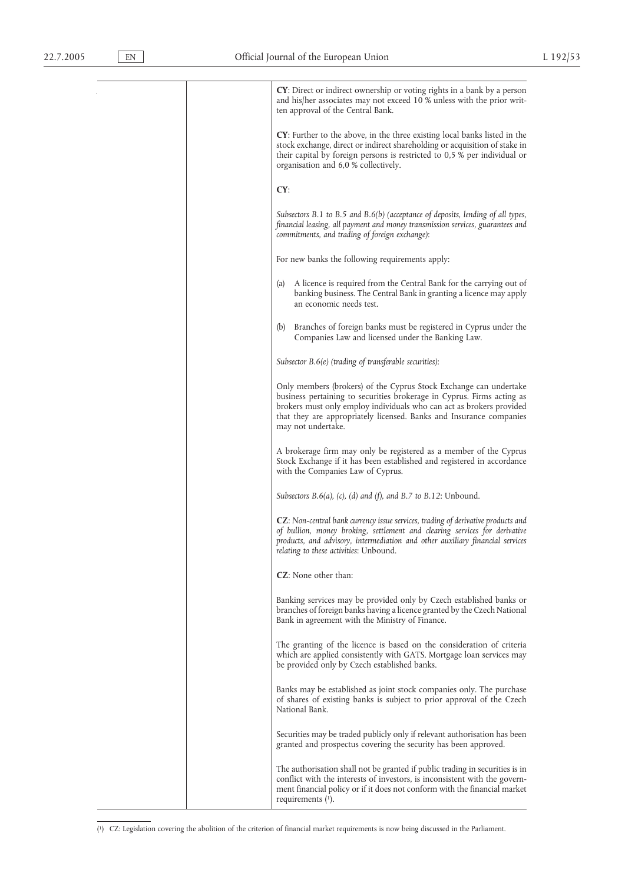**CY**: Direct or indirect ownership or voting rights in a bank by a person and his/her associates may not exceed 10 % unless with the prior written approval of the Central Bank. **CY**: Further to the above, in the three existing local banks listed in the stock exchange, direct or indirect shareholding or acquisition of stake in their capital by foreign persons is restricted to 0,5 % per individual or organisation and 6,0 % collectively. **CY**: *Subsectors B.1 to B.5 and B.6(b) (acceptance of deposits, lending of all types, financial leasing, all payment and money transmission services, guarantees and commitments, and trading of foreign exchange)*: For new banks the following requirements apply: (a) A licence is required from the Central Bank for the carrying out of banking business. The Central Bank in granting a licence may apply an economic needs test. (b) Branches of foreign banks must be registered in Cyprus under the Companies Law and licensed under the Banking Law. *Subsector B.6(e) (trading of transferable securities)*: Only members (brokers) of the Cyprus Stock Exchange can undertake business pertaining to securities brokerage in Cyprus. Firms acting as brokers must only employ individuals who can act as brokers provided that they are appropriately licensed. Banks and Insurance companies may not undertake. A brokerage firm may only be registered as a member of the Cyprus Stock Exchange if it has been established and registered in accordance with the Companies Law of Cyprus. *Subsectors B.6(a), (c), (d) and (f), and B.7 to B.12*: Unbound. **CZ**: *Non-central bank currency issue services, trading of derivative products and of bullion, money broking, settlement and clearing services for derivative products, and advisory, intermediation and other auxiliary financial services relating to these activities*: Unbound. **CZ**: None other than: Banking services may be provided only by Czech established banks or branches of foreign banks having a licence granted by the Czech National Bank in agreement with the Ministry of Finance. The granting of the licence is based on the consideration of criteria which are applied consistently with GATS. Mortgage loan services may be provided only by Czech established banks. Banks may be established as joint stock companies only. The purchase of shares of existing banks is subject to prior approval of the Czech National Bank. Securities may be traded publicly only if relevant authorisation has been granted and prospectus covering the security has been approved. The authorisation shall not be granted if public trading in securities is in conflict with the interests of investors, is inconsistent with the government financial policy or if it does not conform with the financial market

( 1) CZ: Legislation covering the abolition of the criterion of financial market requirements is now being discussed in the Parliament.

requirements (1).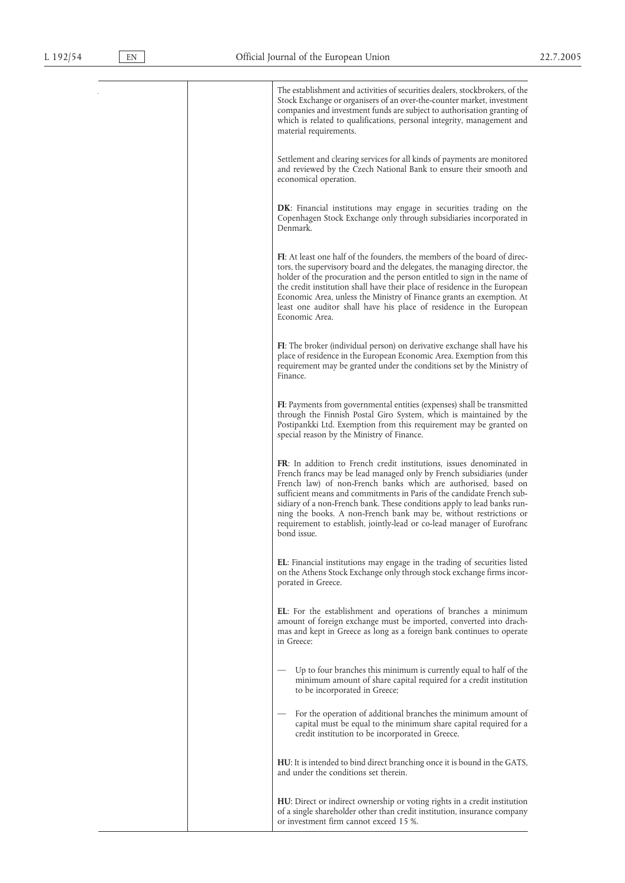The establishment and activities of securities dealers, stockbrokers, of the Stock Exchange or organisers of an over-the-counter market, investment companies and investment funds are subject to authorisation granting of which is related to qualifications, personal integrity, management and material requirements. Settlement and clearing services for all kinds of payments are monitored and reviewed by the Czech National Bank to ensure their smooth and economical operation. **DK**: Financial institutions may engage in securities trading on the Copenhagen Stock Exchange only through subsidiaries incorporated in Denmark. **FI**: At least one half of the founders, the members of the board of directors, the supervisory board and the delegates, the managing director, the holder of the procuration and the person entitled to sign in the name of the credit institution shall have their place of residence in the European Economic Area, unless the Ministry of Finance grants an exemption. At least one auditor shall have his place of residence in the European Economic Area. **FI**: The broker (individual person) on derivative exchange shall have his place of residence in the European Economic Area. Exemption from this requirement may be granted under the conditions set by the Ministry of Finance. **FI**: Payments from governmental entities (expenses) shall be transmitted through the Finnish Postal Giro System, which is maintained by the Postipankki Ltd. Exemption from this requirement may be granted on special reason by the Ministry of Finance. **FR**: In addition to French credit institutions, issues denominated in French francs may be lead managed only by French subsidiaries (under French law) of non-French banks which are authorised, based on sufficient means and commitments in Paris of the candidate French subsidiary of a non-French bank. These conditions apply to lead banks running the books. A non-French bank may be, without restrictions or requirement to establish, jointly-lead or co-lead manager of Eurofranc bond issue. **EL**: Financial institutions may engage in the trading of securities listed on the Athens Stock Exchange only through stock exchange firms incorporated in Greece. **EL**: For the establishment and operations of branches a minimum amount of foreign exchange must be imported, converted into drachmas and kept in Greece as long as a foreign bank continues to operate in Greece: Up to four branches this minimum is currently equal to half of the minimum amount of share capital required for a credit institution to be incorporated in Greece; For the operation of additional branches the minimum amount of capital must be equal to the minimum share capital required for a credit institution to be incorporated in Greece. **HU**: It is intended to bind direct branching once it is bound in the GATS, and under the conditions set therein. **HU**: Direct or indirect ownership or voting rights in a credit institution of a single shareholder other than credit institution, insurance company or investment firm cannot exceed 15 %.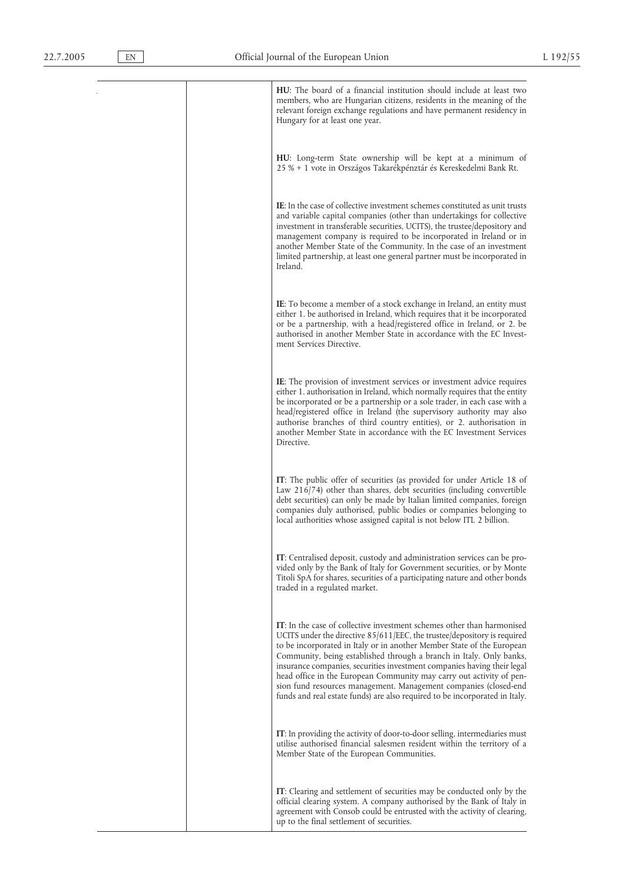**HU**: The board of a financial institution should include at least two members, who are Hungarian citizens, residents in the meaning of the relevant foreign exchange regulations and have permanent residency in Hungary for at least one year. **HU**: Long-term State ownership will be kept at a minimum of 25 % + 1 vote in Országos Takarékpénztár és Kereskedelmi Bank Rt. **IE**: In the case of collective investment schemes constituted as unit trusts and variable capital companies (other than undertakings for collective investment in transferable securities, UCITS), the trustee/depository and management company is required to be incorporated in Ireland or in another Member State of the Community. In the case of an investment limited partnership, at least one general partner must be incorporated in Ireland. **IE**: To become a member of a stock exchange in Ireland, an entity must either 1. be authorised in Ireland, which requires that it be incorporated or be a partnership, with a head/registered office in Ireland, or 2. be authorised in another Member State in accordance with the EC Investment Services Directive. **IE**: The provision of investment services or investment advice requires either 1. authorisation in Ireland, which normally requires that the entity be incorporated or be a partnership or a sole trader, in each case with a head/registered office in Ireland (the supervisory authority may also authorise branches of third country entities), or 2. authorisation in another Member State in accordance with the EC Investment Services Directive. **IT**: The public offer of securities (as provided for under Article 18 of Law 216/74) other than shares, debt securities (including convertible debt securities) can only be made by Italian limited companies, foreign companies duly authorised, public bodies or companies belonging to local authorities whose assigned capital is not below ITL 2 billion. **IT**: Centralised deposit, custody and administration services can be provided only by the Bank of Italy for Government securities, or by Monte Titoli SpA for shares, securities of a participating nature and other bonds traded in a regulated market. **IT**: In the case of collective investment schemes other than harmonised UCITS under the directive 85/611/EEC, the trustee/depository is required to be incorporated in Italy or in another Member State of the European Community, being established through a branch in Italy. Only banks, insurance companies, securities investment companies having their legal head office in the European Community may carry out activity of pension fund resources management. Management companies (closed-end funds and real estate funds) are also required to be incorporated in Italy. **IT**: In providing the activity of door-to-door selling, intermediaries must utilise authorised financial salesmen resident within the territory of a Member State of the European Communities. **IT**: Clearing and settlement of securities may be conducted only by the official clearing system. A company authorised by the Bank of Italy in

agreement with Consob could be entrusted with the activity of clearing,

up to the final settlement of securities.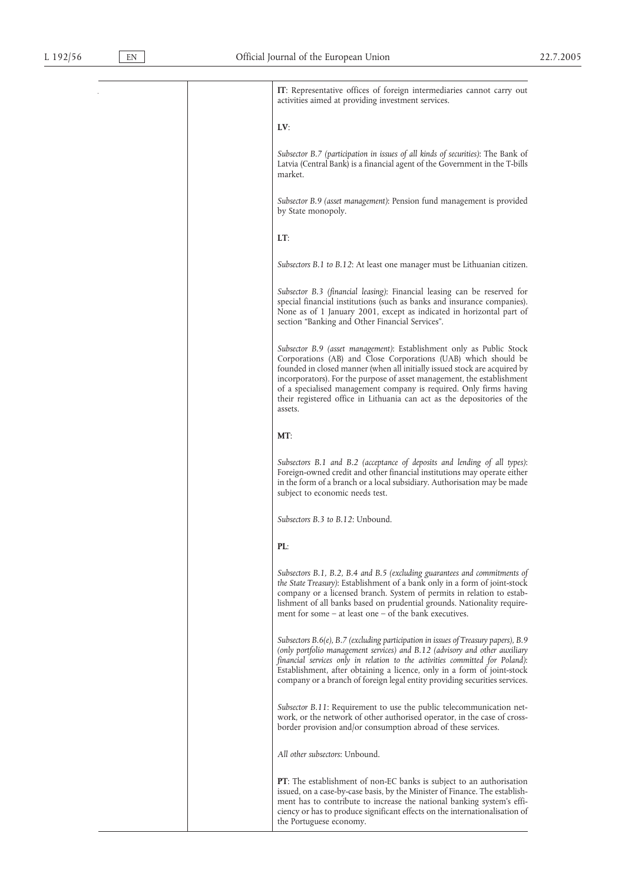**IT**: Representative offices of foreign intermediaries cannot carry out activities aimed at providing investment services. **LV**: *Subsector B.7 (participation in issues of all kinds of securities)*: The Bank of Latvia (Central Bank) is a financial agent of the Government in the T-bills market.

*Subsector B.9 (asset management)*: Pension fund management is provided by State monopoly.

**LT**:

*Subsectors B.1 to B.12*: At least one manager must be Lithuanian citizen.

*Subsector B.3 (financial leasing)*: Financial leasing can be reserved for special financial institutions (such as banks and insurance companies). None as of 1 January 2001, except as indicated in horizontal part of section "Banking and Other Financial Services".

*Subsector B.9 (asset management)*: Establishment only as Public Stock Corporations (AB) and Close Corporations (UAB) which should be founded in closed manner (when all initially issued stock are acquired by incorporators). For the purpose of asset management, the establishment of a specialised management company is required. Only firms having their registered office in Lithuania can act as the depositories of the assets.

**MT**:

*Subsectors B.1 and B.2 (acceptance of deposits and lending of all types)*: Foreign-owned credit and other financial institutions may operate either in the form of a branch or a local subsidiary. Authorisation may be made subject to economic needs test.

*Subsectors B.3 to B.12*: Unbound.

### **PL**:

*Subsectors B.1, B.2, B.4 and B.5 (excluding guarantees and commitments of the State Treasury)*: Establishment of a bank only in a form of joint-stock company or a licensed branch. System of permits in relation to establishment of all banks based on prudential grounds. Nationality requirement for some – at least one – of the bank executives.

*Subsectors B.6(e), B.7 (excluding participation in issues of Treasury papers), B.9 (only portfolio management services) and B.12 (advisory and other auxiliary financial services only in relation to the activities committed for Poland)*: Establishment, after obtaining a licence, only in a form of joint-stock company or a branch of foreign legal entity providing securities services.

*Subsector B.11*: Requirement to use the public telecommunication network, or the network of other authorised operator, in the case of crossborder provision and/or consumption abroad of these services.

*All other subsectors*: Unbound.

**PT**: The establishment of non-EC banks is subject to an authorisation issued, on a case-by-case basis, by the Minister of Finance. The establishment has to contribute to increase the national banking system's efficiency or has to produce significant effects on the internationalisation of the Portuguese economy.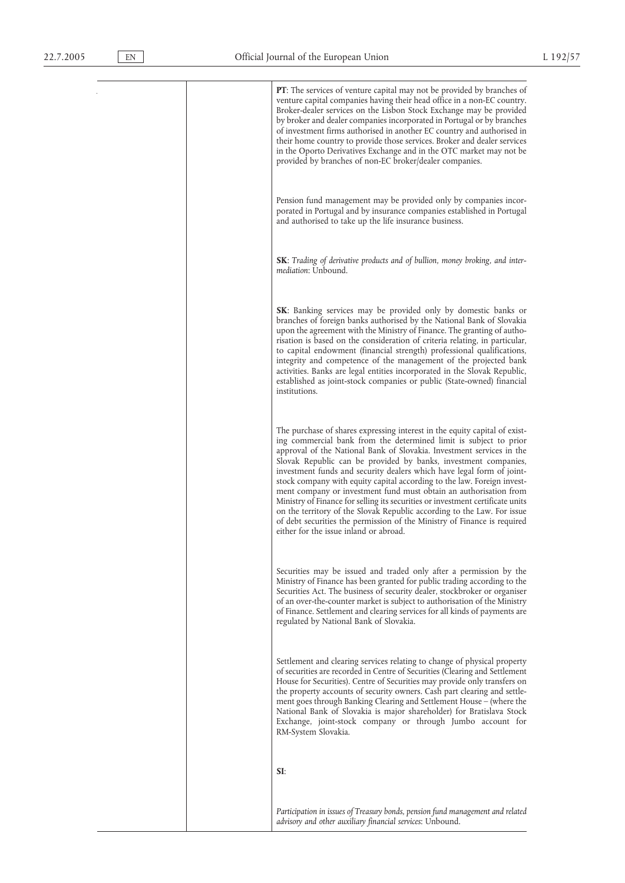**PT**: The services of venture capital may not be provided by branches of venture capital companies having their head office in a non-EC country. Broker-dealer services on the Lisbon Stock Exchange may be provided by broker and dealer companies incorporated in Portugal or by branches of investment firms authorised in another EC country and authorised in their home country to provide those services. Broker and dealer services in the Oporto Derivatives Exchange and in the OTC market may not be provided by branches of non-EC broker/dealer companies. Pension fund management may be provided only by companies incorporated in Portugal and by insurance companies established in Portugal and authorised to take up the life insurance business. **SK**: *Trading of derivative products and of bullion, money broking, and intermediation*: Unbound. **SK**: Banking services may be provided only by domestic banks or branches of foreign banks authorised by the National Bank of Slovakia upon the agreement with the Ministry of Finance. The granting of authorisation is based on the consideration of criteria relating, in particular, to capital endowment (financial strength) professional qualifications, integrity and competence of the management of the projected bank activities. Banks are legal entities incorporated in the Slovak Republic, established as joint-stock companies or public (State-owned) financial institutions. The purchase of shares expressing interest in the equity capital of existing commercial bank from the determined limit is subject to prior approval of the National Bank of Slovakia. Investment services in the Slovak Republic can be provided by banks, investment companies, investment funds and security dealers which have legal form of jointstock company with equity capital according to the law. Foreign investment company or investment fund must obtain an authorisation from Ministry of Finance for selling its securities or investment certificate units on the territory of the Slovak Republic according to the Law. For issue of debt securities the permission of the Ministry of Finance is required either for the issue inland or abroad. Securities may be issued and traded only after a permission by the Ministry of Finance has been granted for public trading according to the Securities Act. The business of security dealer, stockbroker or organiser of an over-the-counter market is subject to authorisation of the Ministry of Finance. Settlement and clearing services for all kinds of payments are regulated by National Bank of Slovakia. Settlement and clearing services relating to change of physical property of securities are recorded in Centre of Securities (Clearing and Settlement House for Securities). Centre of Securities may provide only transfers on the property accounts of security owners. Cash part clearing and settlement goes through Banking Clearing and Settlement House – (where the National Bank of Slovakia is major shareholder) for Bratislava Stock Exchange, joint-stock company or through Jumbo account for RM-System Slovakia. **SI**:

*Participation in issues of Treasury bonds, pension fund management and related*

*advisory and other auxiliary financial services*: Unbound.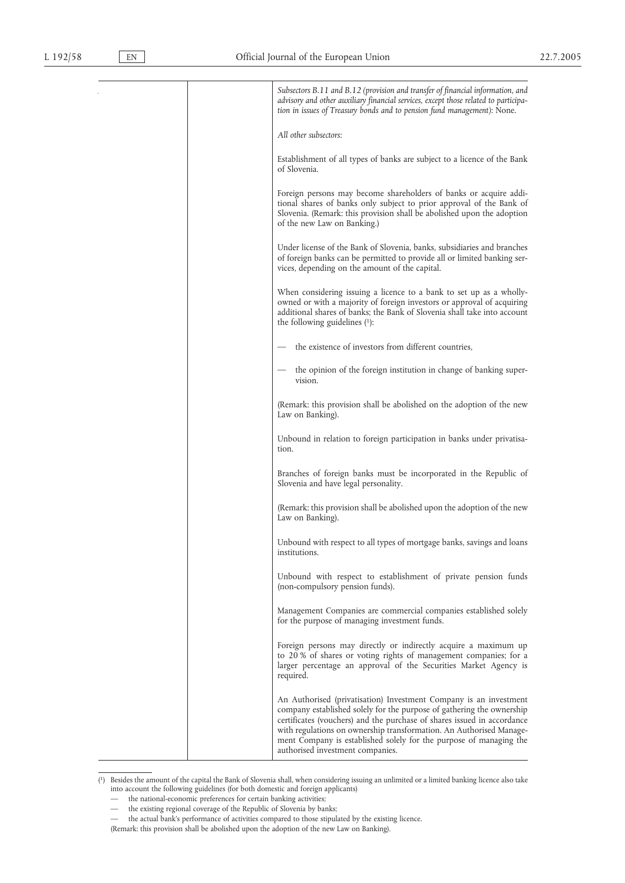|  | Subsectors B.11 and B.12 (provision and transfer of financial information, and<br>advisory and other auxiliary financial services, except those related to participa-<br>tion in issues of Treasury bonds and to pension fund management): None.                                                                                                                                                       |
|--|--------------------------------------------------------------------------------------------------------------------------------------------------------------------------------------------------------------------------------------------------------------------------------------------------------------------------------------------------------------------------------------------------------|
|  | All other subsectors:                                                                                                                                                                                                                                                                                                                                                                                  |
|  | Establishment of all types of banks are subject to a licence of the Bank<br>of Slovenia.                                                                                                                                                                                                                                                                                                               |
|  | Foreign persons may become shareholders of banks or acquire addi-<br>tional shares of banks only subject to prior approval of the Bank of<br>Slovenia. (Remark: this provision shall be abolished upon the adoption<br>of the new Law on Banking.)                                                                                                                                                     |
|  | Under license of the Bank of Slovenia, banks, subsidiaries and branches<br>of foreign banks can be permitted to provide all or limited banking ser-<br>vices, depending on the amount of the capital.                                                                                                                                                                                                  |
|  | When considering issuing a licence to a bank to set up as a wholly-<br>owned or with a majority of foreign investors or approval of acquiring<br>additional shares of banks; the Bank of Slovenia shall take into account<br>the following guidelines $(1)$ :                                                                                                                                          |
|  | the existence of investors from different countries,                                                                                                                                                                                                                                                                                                                                                   |
|  | the opinion of the foreign institution in change of banking super-<br>vision.                                                                                                                                                                                                                                                                                                                          |
|  | (Remark: this provision shall be abolished on the adoption of the new<br>Law on Banking).                                                                                                                                                                                                                                                                                                              |
|  | Unbound in relation to foreign participation in banks under privatisa-<br>tion.                                                                                                                                                                                                                                                                                                                        |
|  | Branches of foreign banks must be incorporated in the Republic of<br>Slovenia and have legal personality.                                                                                                                                                                                                                                                                                              |
|  | (Remark: this provision shall be abolished upon the adoption of the new<br>Law on Banking).                                                                                                                                                                                                                                                                                                            |
|  | Unbound with respect to all types of mortgage banks, savings and loans<br>institutions.                                                                                                                                                                                                                                                                                                                |
|  | Unbound with respect to establishment of private pension funds<br>(non-compulsory pension funds).                                                                                                                                                                                                                                                                                                      |
|  | Management Companies are commercial companies established solely<br>for the purpose of managing investment funds.                                                                                                                                                                                                                                                                                      |
|  | Foreign persons may directly or indirectly acquire a maximum up<br>to 20 % of shares or voting rights of management companies; for a<br>larger percentage an approval of the Securities Market Agency is<br>required.                                                                                                                                                                                  |
|  | An Authorised (privatisation) Investment Company is an investment<br>company established solely for the purpose of gathering the ownership<br>certificates (vouchers) and the purchase of shares issued in accordance<br>with regulations on ownership transformation. An Authorised Manage-<br>ment Company is established solely for the purpose of managing the<br>authorised investment companies. |

<sup>(</sup> 1) Besides the amount of the capital the Bank of Slovenia shall, when considering issuing an unlimited or a limited banking licence also take into account the following guidelines (for both domestic and foreign applicants)

- the national-economic preferences for certain banking activities;
- the existing regional coverage of the Republic of Slovenia by banks;<br>— the actual bank's performance of activities compared to those stipula
- the actual bank's performance of activities compared to those stipulated by the existing licence.
- (Remark: this provision shall be abolished upon the adoption of the new Law on Banking).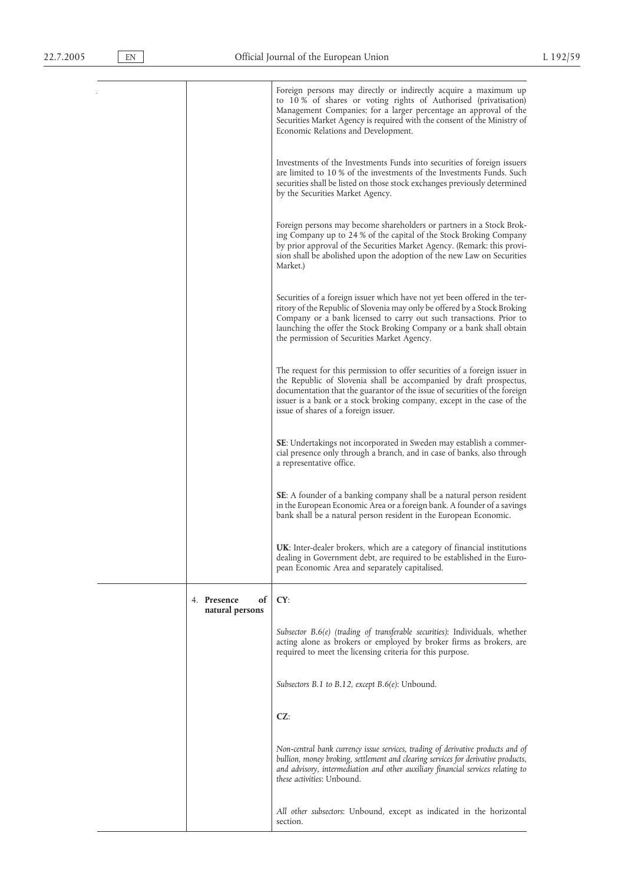Foreign persons may directly or indirectly acquire a maximum up to 10 % of shares or voting rights of Authorised (privatisation) Management Companies; for a larger percentage an approval of the Securities Market Agency is required with the consent of the Ministry of Economic Relations and Development. Investments of the Investments Funds into securities of foreign issuers are limited to 10 % of the investments of the Investments Funds. Such securities shall be listed on those stock exchanges previously determined by the Securities Market Agency. Foreign persons may become shareholders or partners in a Stock Broking Company up to 24 % of the capital of the Stock Broking Company by prior approval of the Securities Market Agency. (Remark: this provision shall be abolished upon the adoption of the new Law on Securities Market.) Securities of a foreign issuer which have not yet been offered in the territory of the Republic of Slovenia may only be offered by a Stock Broking Company or a bank licensed to carry out such transactions. Prior to launching the offer the Stock Broking Company or a bank shall obtain the permission of Securities Market Agency. The request for this permission to offer securities of a foreign issuer in the Republic of Slovenia shall be accompanied by draft prospectus, documentation that the guarantor of the issue of securities of the foreign issuer is a bank or a stock broking company, except in the case of the issue of shares of a foreign issuer. **SE**: Undertakings not incorporated in Sweden may establish a commercial presence only through a branch, and in case of banks, also through a representative office. **SE**: A founder of a banking company shall be a natural person resident in the European Economic Area or a foreign bank. A founder of a savings bank shall be a natural person resident in the European Economic. **UK**: Inter-dealer brokers, which are a category of financial institutions dealing in Government debt, are required to be established in the European Economic Area and separately capitalised. 4. **Presence of natural persons CY**: *Subsector B.6(e) (trading of transferable securities)*: Individuals, whether acting alone as brokers or employed by broker firms as brokers, are required to meet the licensing criteria for this purpose. *Subsectors B.1 to B.12, except B.6(e)*: Unbound. **CZ**: *Non-central bank currency issue services, trading of derivative products and of bullion, money broking, settlement and clearing services for derivative products, and advisory, intermediation and other auxiliary financial services relating to these activities*: Unbound. *All other subsectors*: Unbound, except as indicated in the horizontal section.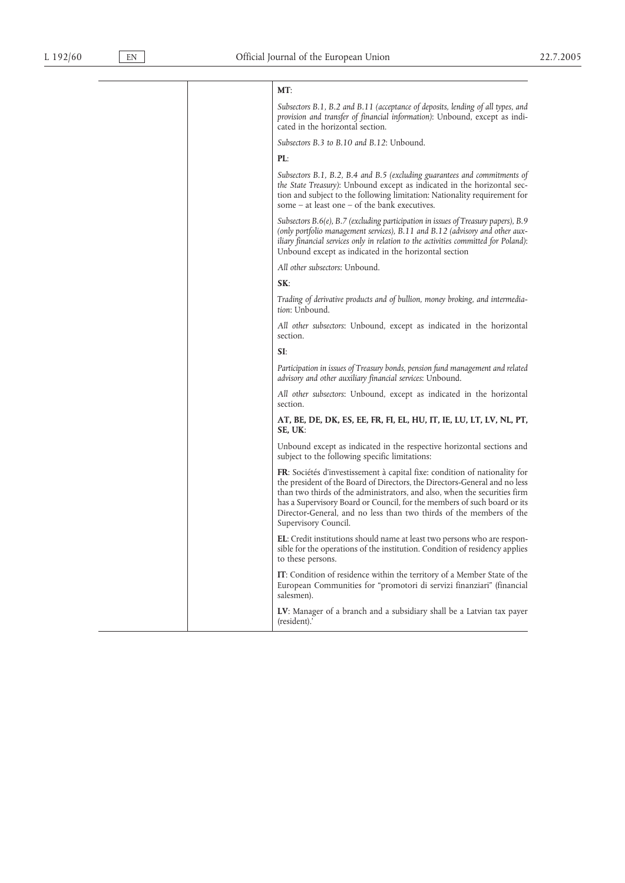### **MT**:

*Subsectors B.1, B.2 and B.11 (acceptance of deposits, lending of all types, and provision and transfer of financial information)*: Unbound, except as indicated in the horizontal section.

*Subsectors B.3 to B.10 and B.12*: Unbound.

### **PL**:

*Subsectors B.1, B.2, B.4 and B.5 (excluding guarantees and commitments of the State Treasury)*: Unbound except as indicated in the horizontal section and subject to the following limitation: Nationality requirement for some – at least one – of the bank executives.

*Subsectors B.6(e), B.7 (excluding participation in issues of Treasury papers), B.9 (only portfolio management services), B.11 and B.12 (advisory and other auxiliary financial services only in relation to the activities committed for Poland)*: Unbound except as indicated in the horizontal section

*All other subsectors*: Unbound.

**SK**:

*Trading of derivative products and of bullion, money broking, and intermediation*: Unbound.

*All other subsectors*: Unbound, except as indicated in the horizontal section.

**SI**:

*Participation in issues of Treasury bonds, pension fund management and related advisory and other auxiliary financial services*: Unbound.

*All other subsectors*: Unbound, except as indicated in the horizontal section.

**AT, BE, DE, DK, ES, EE, FR, FI, EL, HU, IT, IE, LU, LT, LV, NL, PT, SE, UK**:

Unbound except as indicated in the respective horizontal sections and subject to the following specific limitations:

**FR**: Sociétés d'investissement à capital fixe: condition of nationality for the president of the Board of Directors, the Directors-General and no less than two thirds of the administrators, and also, when the securities firm has a Supervisory Board or Council, for the members of such board or its Director-General, and no less than two thirds of the members of the Supervisory Council.

**EL**: Credit institutions should name at least two persons who are responsible for the operations of the institution. Condition of residency applies to these persons.

**IT**: Condition of residence within the territory of a Member State of the European Communities for "promotori di servizi finanziari" (financial salesmen).

**LV**: Manager of a branch and a subsidiary shall be a Latvian tax payer (resident).'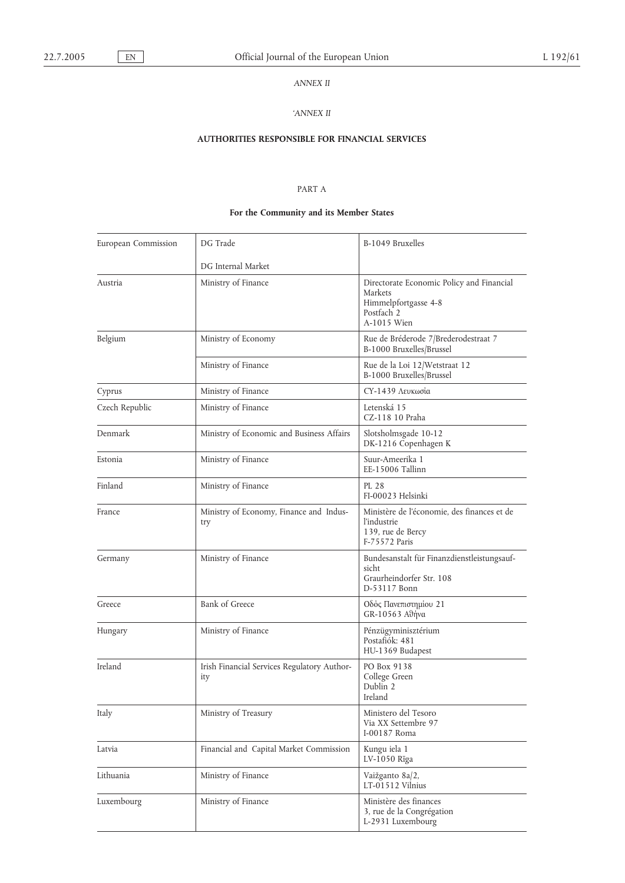## *ANNEX II*

## *'ANNEX II*

# **AUTHORITIES RESPONSIBLE FOR FINANCIAL SERVICES**

## PART A

# **For the Community and its Member States**

| DG Trade<br>European Commission   |                                                    | B-1049 Bruxelles                                                                                          |  |
|-----------------------------------|----------------------------------------------------|-----------------------------------------------------------------------------------------------------------|--|
|                                   | DG Internal Market                                 |                                                                                                           |  |
| Austria                           | Ministry of Finance                                | Directorate Economic Policy and Financial<br>Markets<br>Himmelpfortgasse 4-8<br>Postfach 2<br>A-1015 Wien |  |
| Belgium                           | Ministry of Economy                                | Rue de Bréderode 7/Brederodestraat 7<br>B-1000 Bruxelles/Brussel                                          |  |
|                                   | Ministry of Finance                                | Rue de la Loi 12/Wetstraat 12<br>B-1000 Bruxelles/Brussel                                                 |  |
| Cyprus                            | Ministry of Finance                                | CY-1439 Λευκωσία                                                                                          |  |
| Czech Republic                    | Ministry of Finance                                | Letenská 15<br>CZ-118 10 Praha                                                                            |  |
| Denmark                           | Ministry of Economic and Business Affairs          | Slotsholmsgade 10-12<br>DK-1216 Copenhagen K                                                              |  |
| Estonia                           | Ministry of Finance                                | Suur-Ameerika 1<br>EE-15006 Tallinn                                                                       |  |
| Finland                           | Ministry of Finance                                | PL 28<br>FI-00023 Helsinki                                                                                |  |
| France                            | Ministry of Economy, Finance and Indus-<br>try     | Ministère de l'économie, des finances et de<br>l'industrie<br>139, rue de Bercy<br>F-75572 Paris          |  |
| Germany                           | Ministry of Finance                                | Bundesanstalt für Finanzdienstleistungsauf-<br>sicht<br>Graurheindorfer Str. 108<br>D-53117 Bonn          |  |
| Greece                            | <b>Bank of Greece</b>                              | Οδός Πανεπιστημίου 21<br>GR-10563 Αθήνα                                                                   |  |
| Hungary                           | Ministry of Finance                                | Pénzügyminisztérium<br>Postafiók: 481<br>HU-1369 Budapest                                                 |  |
| Ireland                           | Irish Financial Services Regulatory Author-<br>ity | PO Box 9138<br>College Green<br>Dublin 2<br>Ireland                                                       |  |
| Italy                             | Ministry of Treasury                               | Ministero del Tesoro<br>Via XX Settembre 97<br>I-00187 Roma                                               |  |
| Latvia                            | Financial and Capital Market Commission            | Kungu iela 1<br>LV-1050 Rīga                                                                              |  |
| Lithuania                         | Ministry of Finance                                | Vaižganto 8a/2,<br>$LT-01512$ Vilnius                                                                     |  |
| Ministry of Finance<br>Luxembourg |                                                    | Ministère des finances<br>3, rue de la Congrégation<br>L-2931 Luxembourg                                  |  |